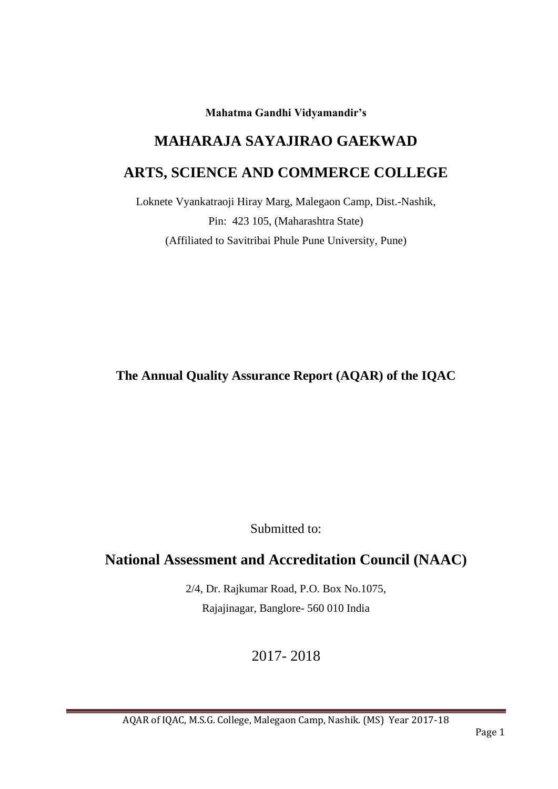**Mahatma Gandhi Vidyamandir's**

# **MAHARAJA SAYAJIRAO GAEKWAD**

# **ARTS, SCIENCE AND COMMERCE COLLEGE**

Loknete Vyankatraoji Hiray Marg, Malegaon Camp, Dist.-Nashik, Pin: 423 105, (Maharashtra State) (Affiliated to Savitribai Phule Pune University, Pune)

**The Annual Quality Assurance Report (AQAR) of the IQAC**

Submitted to:

# **National Assessment and Accreditation Council (NAAC)**

2/4, Dr. Rajkumar Road, P.O. Box No.1075, Rajajinagar, Banglore- 560 010 India

2017- 2018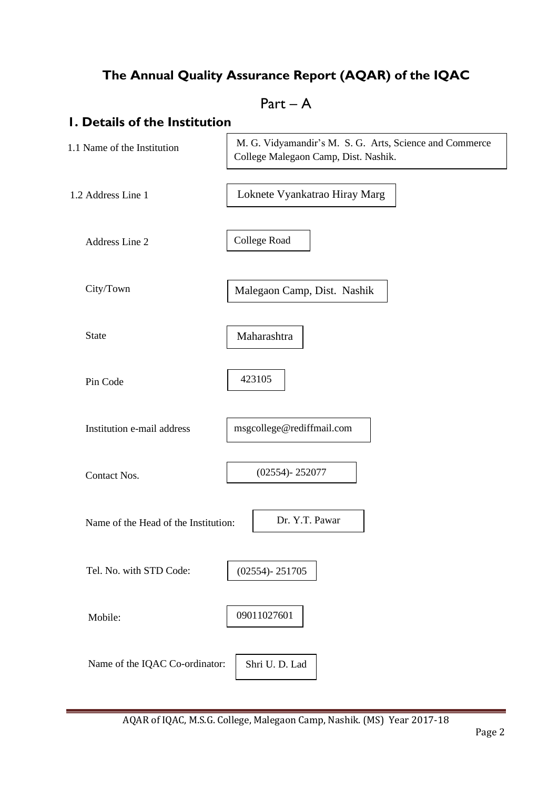# **The Annual Quality Assurance Report (AQAR) of the IQAC**

Part – A

# **1. Details of the Institution**

| 1.1 Name of the Institution          | M. G. Vidyamandir's M. S. G. Arts, Science and Commerce<br>College Malegaon Camp, Dist. Nashik. |
|--------------------------------------|-------------------------------------------------------------------------------------------------|
| 1.2 Address Line 1                   | Loknete Vyankatrao Hiray Marg                                                                   |
| Address Line 2                       | College Road                                                                                    |
| City/Town                            | Malegaon Camp, Dist. Nashik                                                                     |
| <b>State</b>                         | Maharashtra                                                                                     |
| Pin Code                             | 423105                                                                                          |
| Institution e-mail address           | msgcollege@rediffmail.com                                                                       |
| Contact Nos.                         | $(02554) - 252077$                                                                              |
| Name of the Head of the Institution: | Dr. Y.T. Pawar                                                                                  |
| Tel. No. with STD Code:              | $(02554) - 251705$                                                                              |
| Mobile:                              | 09011027601                                                                                     |
| Name of the IQAC Co-ordinator:       | Shri U. D. Lad                                                                                  |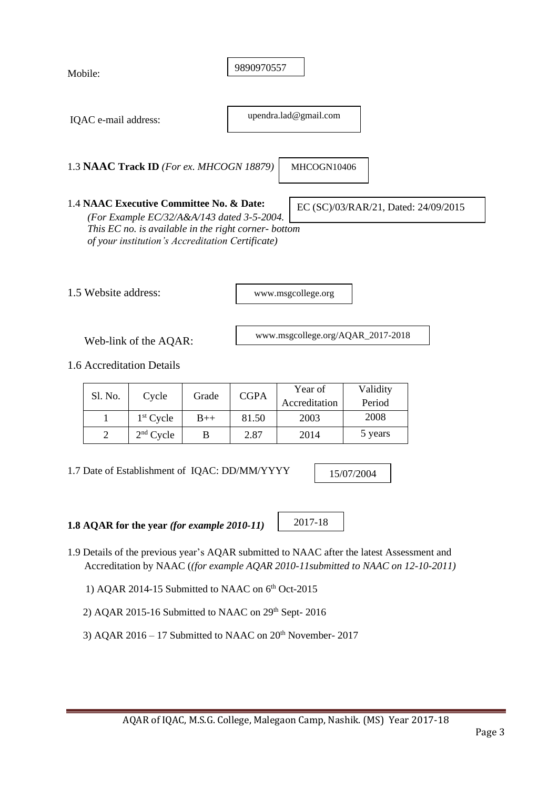| Mobile:                                                 |                                               |                                                                                                                                                                                                    |       | 9890970557  |                                   |                                      |  |  |
|---------------------------------------------------------|-----------------------------------------------|----------------------------------------------------------------------------------------------------------------------------------------------------------------------------------------------------|-------|-------------|-----------------------------------|--------------------------------------|--|--|
|                                                         | upendra.lad@gmail.com<br>IQAC e-mail address: |                                                                                                                                                                                                    |       |             |                                   |                                      |  |  |
| 1.3 NAAC Track ID (For ex. MHCOGN 18879)<br>MHCOGN10406 |                                               |                                                                                                                                                                                                    |       |             |                                   |                                      |  |  |
|                                                         |                                               | 1.4 NAAC Executive Committee No. & Date:<br>(For Example EC/32/A&A/143 dated 3-5-2004.<br>This EC no. is available in the right corner- bottom<br>of your institution's Accreditation Certificate) |       |             |                                   | EC (SC)/03/RAR/21, Dated: 24/09/2015 |  |  |
|                                                         | 1.5 Website address:                          |                                                                                                                                                                                                    |       |             | www.msgcollege.org                |                                      |  |  |
|                                                         |                                               | Web-link of the AQAR:                                                                                                                                                                              |       |             | www.msgcollege.org/AQAR_2017-2018 |                                      |  |  |
|                                                         |                                               | 1.6 Accreditation Details                                                                                                                                                                          |       |             |                                   |                                      |  |  |
|                                                         | Sl. No.                                       | Cycle                                                                                                                                                                                              | Grade | <b>CGPA</b> | Year of<br>Accreditation          | Validity<br>Period                   |  |  |
|                                                         | 1                                             | $1st$ Cycle                                                                                                                                                                                        | $B++$ | 81.50       | 2003                              | 2008                                 |  |  |
|                                                         | $\overline{2}$                                | $2nd$ Cycle                                                                                                                                                                                        | B     | 2.87        | 2014                              | 5 years                              |  |  |
|                                                         |                                               |                                                                                                                                                                                                    |       |             |                                   |                                      |  |  |

1.7 Date of Establishment of IQAC: DD/MM/YYYY

15/07/2004

**1.8 AQAR for the year** *(for example 2010-11)*

2017-18

- 1.9 Details of the previous year's AQAR submitted to NAAC after the latest Assessment and Accreditation by NAAC (*(for example AQAR 2010-11submitted to NAAC on 12-10-2011)*
- 1) AQAR 2014-15 Submitted to NAAC on  $6<sup>th</sup>$  Oct-2015
	- 2) AQAR 2015-16 Submitted to NAAC on  $29<sup>th</sup>$  Sept- 2016
	- 3) AQAR 2016 17 Submitted to NAAC on  $20<sup>th</sup>$  November- 2017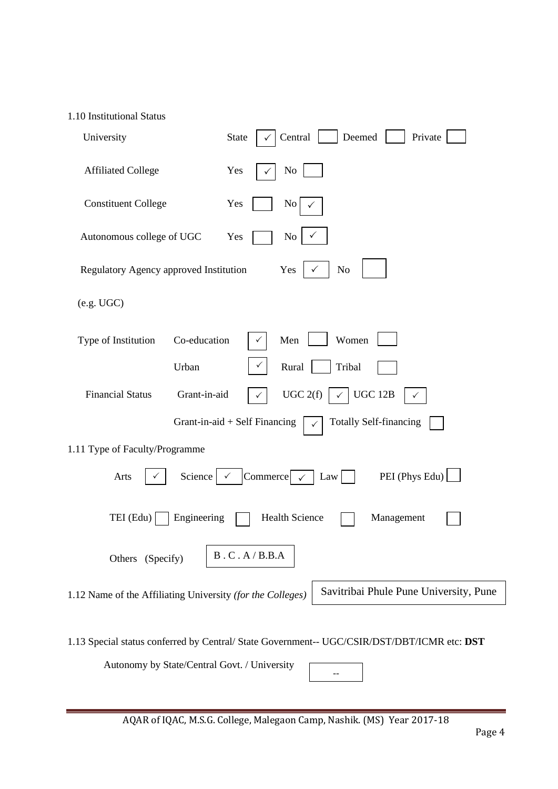#### 1.10 Institutional Status

| University                                                 | <b>State</b><br>Central<br>Deemed<br>Private                                       |
|------------------------------------------------------------|------------------------------------------------------------------------------------|
| <b>Affiliated College</b>                                  | No<br>Yes                                                                          |
| <b>Constituent College</b>                                 | Yes<br>No                                                                          |
| Autonomous college of UGC                                  | No<br>Yes                                                                          |
| Regulatory Agency approved Institution                     | Yes<br>N <sub>o</sub>                                                              |
| (e.g. UGC)                                                 |                                                                                    |
| Co-education<br>Type of Institution                        | Women<br>Men                                                                       |
| Urban                                                      | Rural<br>Tribal                                                                    |
| Grant-in-aid<br><b>Financial Status</b>                    | UGC 2(f)<br>UGC 12B<br>$\checkmark$                                                |
|                                                            | Grant-in-aid + Self Financing<br><b>Totally Self-financing</b>                     |
| 1.11 Type of Faculty/Programme                             |                                                                                    |
| Science<br>Arts                                            | PEI (Phys Edu)<br>Commerce $\sim$<br>Law                                           |
| TEI (Edu)<br>Engineering                                   | <b>Health Science</b><br>Management                                                |
| Others (Specify)                                           | $\,B$ . $\hbox{\bf C}$ . $\hbox{\bf A}$ / $\hbox{\bf B}.\hbox{\bf B}.\hbox{\bf A}$ |
| 1.12 Name of the Affiliating University (for the Colleges) | Savitribai Phule Pune University, Pune                                             |
|                                                            |                                                                                    |

1.13 Special status conferred by Central/ State Government-- UGC/CSIR/DST/DBT/ICMR etc: **DST**

Autonomy by State/Central Govt. / University

--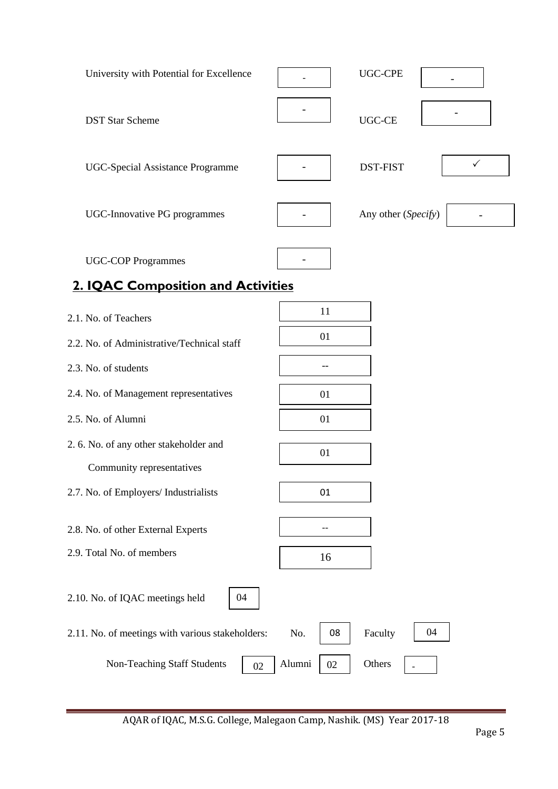| University with Potential for Excellence                               |    | <b>UGC-CPE</b>                  |
|------------------------------------------------------------------------|----|---------------------------------|
| <b>DST Star Scheme</b>                                                 |    | <b>UGC-CE</b>                   |
| <b>UGC-Special Assistance Programme</b>                                |    | $\checkmark$<br><b>DST-FIST</b> |
| <b>UGC-Innovative PG programmes</b>                                    |    | Any other (Specify)             |
| <b>UGC-COP Programmes</b><br><b>2. IQAC Composition and Activities</b> |    |                                 |
| 2.1. No. of Teachers                                                   | 11 |                                 |
| 2.2. No. of Administrative/Technical staff                             | 01 |                                 |
| 2.3. No. of students                                                   |    |                                 |
| 2.4. No. of Management representatives                                 | 01 |                                 |
| 2.5. No. of Alumni                                                     | 01 |                                 |
| 2. 6. No. of any other stakeholder and                                 | 01 |                                 |
| Community representatives                                              |    |                                 |
| 2.7. No. of Employers/ Industrialists                                  | 01 |                                 |

- 2.8. No. of other External Experts
- 2.9. Total No. of members
- 2.10. No. of IQAC meetings held
- 2.11. No. of meetings with various stakeholders:  $\overline{N}$  No. | 08 | Faculty 08 04

02

Non-Teaching Staff Students  $\begin{array}{|c|c|c|c|}\n\hline\n02\n\end{array}$  Alumni  $\begin{array}{|c|c|c|c|}\n\hline\n02\n\end{array}$ 

AQAR of IQAC, M.S.G. College, Malegaon Camp, Nashik. (MS) Year 2017-18

--

16

04

**Others**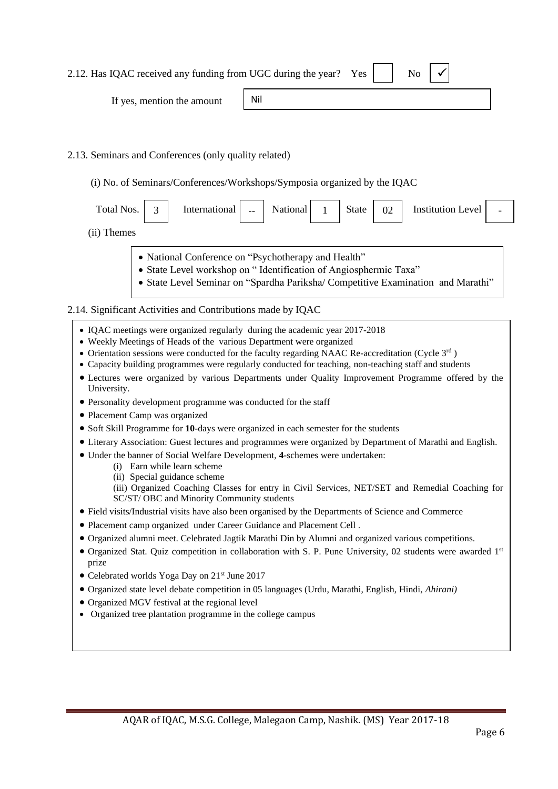| 2.12. Has IQAC received any funding from UGC during the year? Yes |  | $\mathbb{N}_0$ $\mathbb{V}$ |  |  |
|-------------------------------------------------------------------|--|-----------------------------|--|--|
|-------------------------------------------------------------------|--|-----------------------------|--|--|

If yes, mention the amount

# 2.13. Seminars and Conferences (only quality related)

(i) No. of Seminars/Conferences/Workshops/Symposia organized by the IQAC

Nil

| Total Nos.                                                                                                                                                      | $\mathbf{r}$ | International $\vert$ - | National 1 | State | 02 | Institution Level | $\overline{\phantom{0}}$ |
|-----------------------------------------------------------------------------------------------------------------------------------------------------------------|--------------|-------------------------|------------|-------|----|-------------------|--------------------------|
| $\left( \mathbf{1}, \mathbf{1}, \mathbf{1}, \ldots, \mathbf{1}, \mathbf{1}, \mathbf{1}, \ldots, \mathbf{1}, \mathbf{1}, \mathbf{1}, \ldots, \mathbf{1} \right)$ |              |                         |            |       |    |                   |                          |

- (ii) Themes
	- National Conference on "Psychotherapy and Health"
	- State Level workshop on " Identification of Angiosphermic Taxa"
	- State Level Seminar on "Spardha Pariksha/ Competitive Examination and Marathi"

### 2.14. Significant Activities and Contributions made by IQAC

- IQAC meetings were organized regularly during the academic year 2017-2018
- Weekly Meetings of Heads of the various Department were organized
- Orientation sessions were conducted for the faculty regarding NAAC Re-accreditation (Cycle 3<sup>rd</sup>)
- Capacity building programmes were regularly conducted for teaching, non-teaching staff and students
- Lectures were organized by various Departments under Quality Improvement Programme offered by the University.
- Personality development programme was conducted for the staff
- Placement Camp was organized
- Soft Skill Programme for **10**-days were organized in each semester for the students
- Literary Association: Guest lectures and programmes were organized by Department of Marathi and English.
- Under the banner of Social Welfare Development, **4**-schemes were undertaken:
	- (i) Earn while learn scheme
	- (ii) Special guidance scheme
	- (iii) Organized Coaching Classes for entry in Civil Services, NET/SET and Remedial Coaching for SC/ST/ OBC and Minority Community students
- Field visits/Industrial visits have also been organised by the Departments of Science and Commerce
- Placement camp organized under Career Guidance and Placement Cell .
- Organized alumni meet. Celebrated Jagtik Marathi Din by Alumni and organized various competitions.
- Organized Stat. Quiz competition in collaboration with S. P. Pune University, 02 students were awarded 1<sup>st</sup> prize
- Celebrated worlds Yoga Day on 21<sup>st</sup> June 2017
- Organized state level debate competition in 05 languages (Urdu, Marathi, English, Hindi, *Ahirani)*
- Organized MGV festival at the regional level
- Organized tree plantation programme in the college campus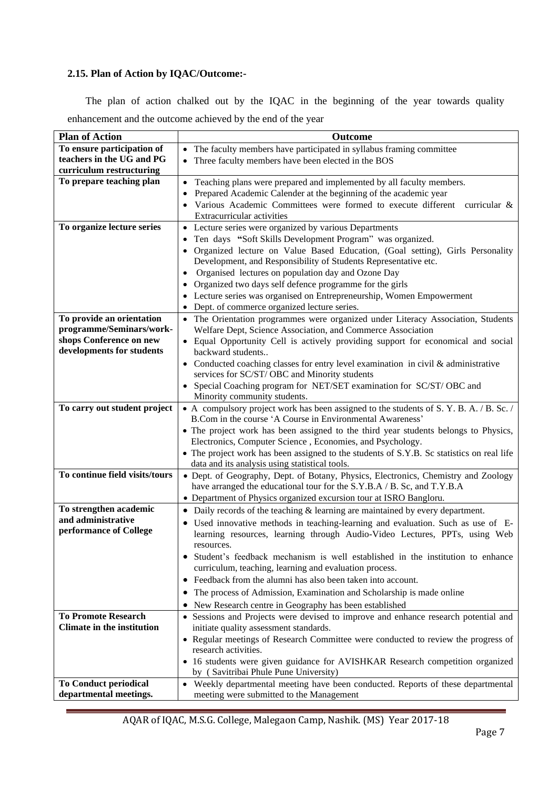### **2.15. Plan of Action by IQAC/Outcome:-**

 The plan of action chalked out by the IQAC in the beginning of the year towards quality enhancement and the outcome achieved by the end of the year

| <b>Plan of Action</b>             | Outcome                                                                                                                                              |
|-----------------------------------|------------------------------------------------------------------------------------------------------------------------------------------------------|
| To ensure participation of        | • The faculty members have participated in syllabus framing committee                                                                                |
| teachers in the UG and PG         | Three faculty members have been elected in the BOS<br>$\bullet$                                                                                      |
| curriculum restructuring          |                                                                                                                                                      |
| To prepare teaching plan          | Teaching plans were prepared and implemented by all faculty members.<br>$\bullet$                                                                    |
|                                   | Prepared Academic Calender at the beginning of the academic year                                                                                     |
|                                   | Various Academic Committees were formed to execute different curricular &                                                                            |
|                                   | Extracurricular activities                                                                                                                           |
| To organize lecture series        | • Lecture series were organized by various Departments                                                                                               |
|                                   | Ten days "Soft Skills Development Program" was organized.<br>$\bullet$                                                                               |
|                                   | Organized lecture on Value Based Education, (Goal setting), Girls Personality<br>$\bullet$                                                           |
|                                   | Development, and Responsibility of Students Representative etc.                                                                                      |
|                                   | Organised lectures on population day and Ozone Day<br>$\bullet$                                                                                      |
|                                   | • Organized two days self defence programme for the girls                                                                                            |
|                                   | • Lecture series was organised on Entrepreneurship, Women Empowerment                                                                                |
|                                   | • Dept. of commerce organized lecture series.                                                                                                        |
| To provide an orientation         | • The Orientation programmes were organized under Literacy Association, Students                                                                     |
| programme/Seminars/work-          | Welfare Dept, Science Association, and Commerce Association                                                                                          |
| shops Conference on new           | • Equal Opportunity Cell is actively providing support for economical and social                                                                     |
| developments for students         | backward students                                                                                                                                    |
|                                   | • Conducted coaching classes for entry level examination in civil & administrative                                                                   |
|                                   | services for SC/ST/ OBC and Minority students                                                                                                        |
|                                   | Special Coaching program for NET/SET examination for SC/ST/OBC and                                                                                   |
|                                   | Minority community students.                                                                                                                         |
| To carry out student project      | • A compulsory project work has been assigned to the students of S. Y. B. A. / B. Sc. /<br>B.Com in the course 'A Course in Environmental Awareness' |
|                                   |                                                                                                                                                      |
|                                   | • The project work has been assigned to the third year students belongs to Physics,<br>Electronics, Computer Science, Economies, and Psychology.     |
|                                   | • The project work has been assigned to the students of S.Y.B. Sc statistics on real life                                                            |
|                                   | data and its analysis using statistical tools.                                                                                                       |
| To continue field visits/tours    | • Dept. of Geography, Dept. of Botany, Physics, Electronics, Chemistry and Zoology                                                                   |
|                                   | have arranged the educational tour for the S.Y.B.A / B. Sc, and T.Y.B.A                                                                              |
|                                   | • Department of Physics organized excursion tour at ISRO Bangloru.                                                                                   |
| To strengthen academic            | • Daily records of the teaching $\&$ learning are maintained by every department.                                                                    |
| and administrative                | • Used innovative methods in teaching-learning and evaluation. Such as use of E-                                                                     |
| performance of College            | learning resources, learning through Audio-Video Lectures, PPTs, using Web                                                                           |
|                                   | resources.                                                                                                                                           |
|                                   | Student's feedback mechanism is well established in the institution to enhance                                                                       |
|                                   | curriculum, teaching, learning and evaluation process.                                                                                               |
|                                   | • Feedback from the alumni has also been taken into account.                                                                                         |
|                                   | The process of Admission, Examination and Scholarship is made online                                                                                 |
|                                   | New Research centre in Geography has been established                                                                                                |
| <b>To Promote Research</b>        | • Sessions and Projects were devised to improve and enhance research potential and                                                                   |
| <b>Climate in the institution</b> | initiate quality assessment standards.                                                                                                               |
|                                   | • Regular meetings of Research Committee were conducted to review the progress of                                                                    |
|                                   | research activities.                                                                                                                                 |
|                                   | • 16 students were given guidance for AVISHKAR Research competition organized                                                                        |
|                                   | by (Savitribai Phule Pune University)                                                                                                                |
| <b>To Conduct periodical</b>      | • Weekly departmental meeting have been conducted. Reports of these departmental                                                                     |
| departmental meetings.            | meeting were submitted to the Management                                                                                                             |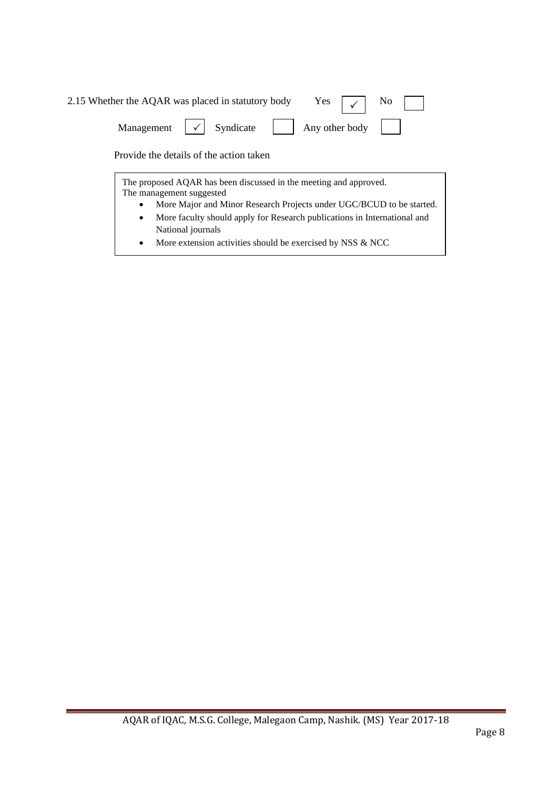| 2.15 Whether the AQAR was placed in statutory body Yes $\boxed{\checkmark}$ No |  |
|--------------------------------------------------------------------------------|--|
| Management $\vert \checkmark \vert$ Syndicate $\vert$ Any other body $\vert$   |  |
| Provide the details of the action taken                                        |  |
| The proposed AQAR has been discussed in the meeting and approved.              |  |

• More faculty should apply for Research publications in International and The management suggested • More Major and Minor Research Projects under UGC/BCUD to be started. National journals

• More extension activities should be exercised by NSS & NCC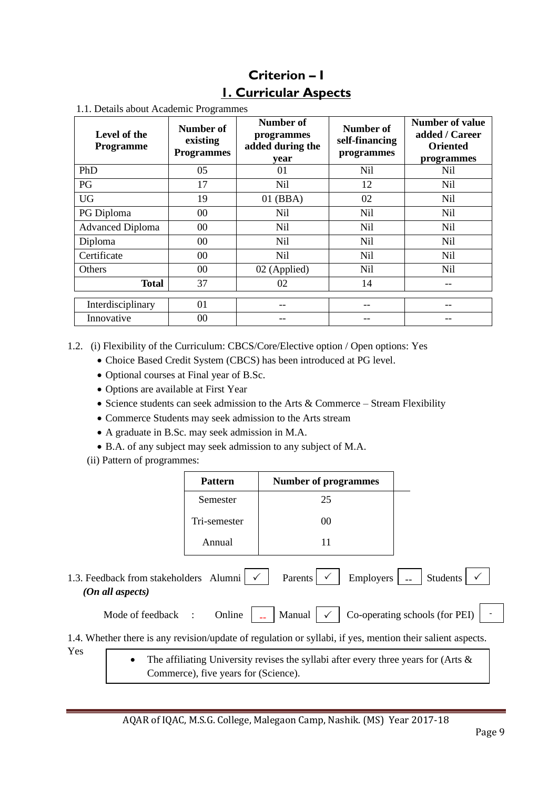# **Criterion – I 1. Curricular Aspects**

| Level of the<br><b>Programme</b> | Number of<br>existing<br><b>Programmes</b> | Number of<br>programmes<br>added during the<br>vear | Number of<br>self-financing<br>programmes | <b>Number of value</b><br>added / Career<br><b>Oriented</b><br>programmes |
|----------------------------------|--------------------------------------------|-----------------------------------------------------|-------------------------------------------|---------------------------------------------------------------------------|
| PhD                              | 05                                         | 01                                                  | Nil                                       | Nil                                                                       |
| PG                               | 17                                         | <b>Nil</b>                                          | 12                                        | <b>Nil</b>                                                                |
| <b>UG</b>                        | 19                                         | $01$ (BBA)                                          | 02                                        | N <sub>il</sub>                                                           |
| PG Diploma                       | 00                                         | Nil                                                 | <b>Nil</b>                                | N <sub>il</sub>                                                           |
| <b>Advanced Diploma</b>          | $00\,$                                     | Nil                                                 | <b>Nil</b>                                | Nil                                                                       |
| Diploma                          | $00\,$                                     | Nil                                                 | <b>Nil</b>                                | Nil                                                                       |
| Certificate                      | $00\,$                                     | <b>Nil</b>                                          | <b>Nil</b>                                | <b>Nil</b>                                                                |
| Others                           | 00                                         | 02 (Applied)                                        | <b>Nil</b>                                | Nil                                                                       |
| Total                            | 37                                         | 02                                                  | 14                                        |                                                                           |
| Interdisciplinary                | 01                                         |                                                     |                                           |                                                                           |
| Innovative                       | 00                                         |                                                     |                                           |                                                                           |

1.1. Details about Academic Programmes

1.2. (i) Flexibility of the Curriculum: CBCS/Core/Elective option / Open options: Yes

- Choice Based Credit System (CBCS) has been introduced at PG level.
- Optional courses at Final year of B.Sc.
- Options are available at First Year
- Science students can seek admission to the Arts & Commerce Stream Flexibility
- Commerce Students may seek admission to the Arts stream
- A graduate in B.Sc. may seek admission in M.A.
- B.A. of any subject may seek admission to any subject of M.A.
- (ii) Pattern of programmes:

Yes

|                                                                                    |                                                                        | <b>Pattern</b>                       | <b>Number of programmes</b>                                                                                |          |  |  |
|------------------------------------------------------------------------------------|------------------------------------------------------------------------|--------------------------------------|------------------------------------------------------------------------------------------------------------|----------|--|--|
|                                                                                    |                                                                        | Semester                             | 25                                                                                                         |          |  |  |
|                                                                                    | Tri-semester                                                           |                                      | 00                                                                                                         |          |  |  |
|                                                                                    |                                                                        | Annual                               | 11                                                                                                         |          |  |  |
|                                                                                    | 1.3. Feedback from stakeholders Alumni $\sqrt{\ }$<br>(On all aspects) |                                      | Employers<br>Parents                                                                                       | Students |  |  |
| Co-operating schools (for PEI)<br>Manual<br>Mode of feedback<br>Online<br>$\sim$ 1 |                                                                        |                                      |                                                                                                            |          |  |  |
|                                                                                    |                                                                        |                                      | 1.4. Whether there is any revision/update of regulation or syllabi, if yes, mention their salient aspects. |          |  |  |
| Yes                                                                                |                                                                        | Commerce), five years for (Science). | The affiliating University revises the syllabi after every three years for (Arts $\&$                      |          |  |  |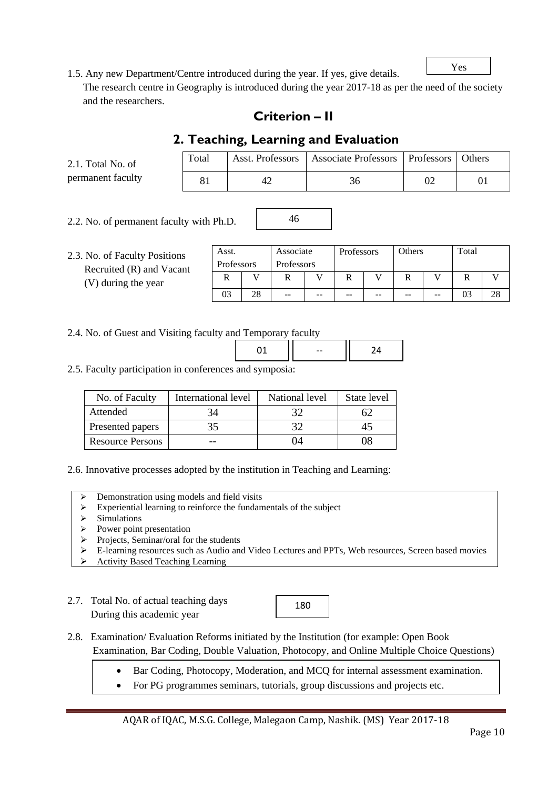Yes

1.5. Any new Department/Centre introduced during the year. If yes, give details.

 The research centre in Geography is introduced during the year 2017-18 as per the need of the society and the researchers.

# **Criterion – II**

# **2. Teaching, Learning and Evaluation**

| 2.1. Total No. of | Total |    | Asst. Professors   Associate Professors   Professors | Others |
|-------------------|-------|----|------------------------------------------------------|--------|
| permanent faculty |       | 4' |                                                      |        |

46

2.2. No. of permanent faculty with Ph.D.

2.3. No. of Faculty Positions Recruited (R) and Vacant (V) during the year Asst. Professors Associate Professors Professors Others Total R V R V R V R V R V R V 03 | 28 | -- | -- | -- | -- | -- | -- | 03 | 28

### 2.4. No. of Guest and Visiting faculty and Temporary faculty

2.5. Faculty participation in conferences and symposia:

| No. of Faculty          | International level | National level | State level  |
|-------------------------|---------------------|----------------|--------------|
| Attended                |                     |                |              |
| Presented papers        | 35                  | 30             | $42^{\circ}$ |
| <b>Resource Persons</b> |                     | 04             | )8           |

2.6. Innovative processes adopted by the institution in Teaching and Learning:

- ➢ Demonstration using models and field visits
- ➢ Experiential learning to reinforce the fundamentals of the subject
- ➢ Simulations
- ➢ Power point presentation
- $\triangleright$  Projects, Seminar/oral for the students
- ➢ E-learning resources such as Audio and Video Lectures and PPTs, Web resources, Screen based movies
- ➢ Activity Based Teaching Learning
- 2.7. Total No. of actual teaching days During this academic year

180

- 2.8. Examination/ Evaluation Reforms initiated by the Institution (for example: Open Book Examination, Bar Coding, Double Valuation, Photocopy, and Online Multiple Choice Questions)
	- Bar Coding, Photocopy, Moderation, and MCQ for internal assessment examination.
	- For PG programmes seminars, tutorials, group discussions and projects etc.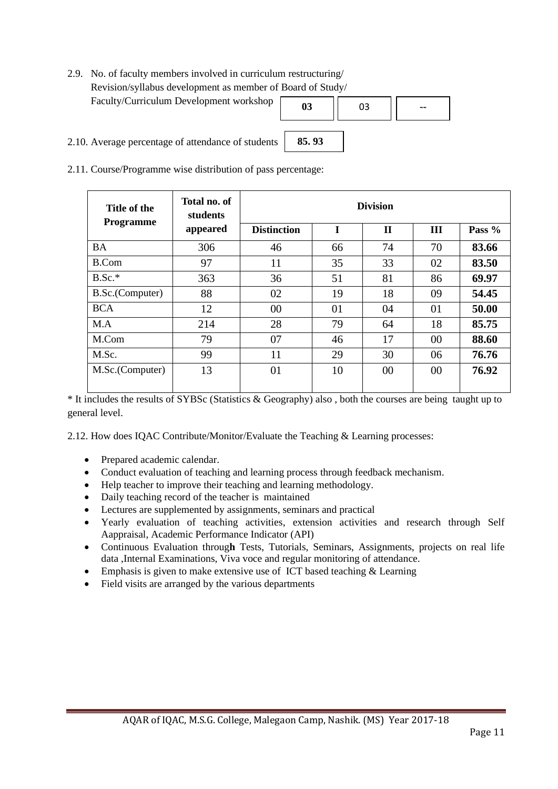2.9. No. of faculty members involved in curriculum restructuring/ Revision/syllabus development as member of Board of Study/ Faculty/Curriculum Development workshop



- 2.10. Average percentage of attendance of students
- 2.11. Course/Programme wise distribution of pass percentage:

| Title of the<br>Programme | Total no. of<br>students | <b>Division</b>    |    |              |     |        |
|---------------------------|--------------------------|--------------------|----|--------------|-----|--------|
|                           | appeared                 | <b>Distinction</b> | T  | $\mathbf{H}$ | III | Pass % |
| <b>BA</b>                 | 306                      | 46                 | 66 | 74           | 70  | 83.66  |
| B.Com                     | 97                       | 11                 | 35 | 33           | 02  | 83.50  |
| $B.Sc.*$                  | 363                      | 36                 | 51 | 81           | 86  | 69.97  |
| B.Sc.(Computer)           | 88                       | 02                 | 19 | 18           | 09  | 54.45  |
| <b>BCA</b>                | 12                       | 00                 | 01 | 04           | 01  | 50.00  |
| M.A                       | 214                      | 28                 | 79 | 64           | 18  | 85.75  |
| M.Com                     | 79                       | 07                 | 46 | 17           | 00  | 88.60  |
| M.Sc.                     | 99                       | 11                 | 29 | 30           | 06  | 76.76  |
| M.Sc.(Computer)           | 13                       | 01                 | 10 | 00           | 00  | 76.92  |

**85. 93**

\* It includes the results of SYBSc (Statistics & Geography) also , both the courses are being taught up to general level.

2.12. How does IQAC Contribute/Monitor/Evaluate the Teaching & Learning processes:

- Prepared academic calendar.
- Conduct evaluation of teaching and learning process through feedback mechanism.
- Help teacher to improve their teaching and learning methodology.
- Daily teaching record of the teacher is maintained
- Lectures are supplemented by assignments, seminars and practical
- Yearly evaluation of teaching activities, extension activities and research through Self Aappraisal, Academic Performance Indicator (API)
- Continuous Evaluation throug**h** Tests, Tutorials, Seminars, Assignments, projects on real life data ,Internal Examinations, Viva voce and regular monitoring of attendance.
- Emphasis is given to make extensive use of ICT based teaching & Learning
- Field visits are arranged by the various departments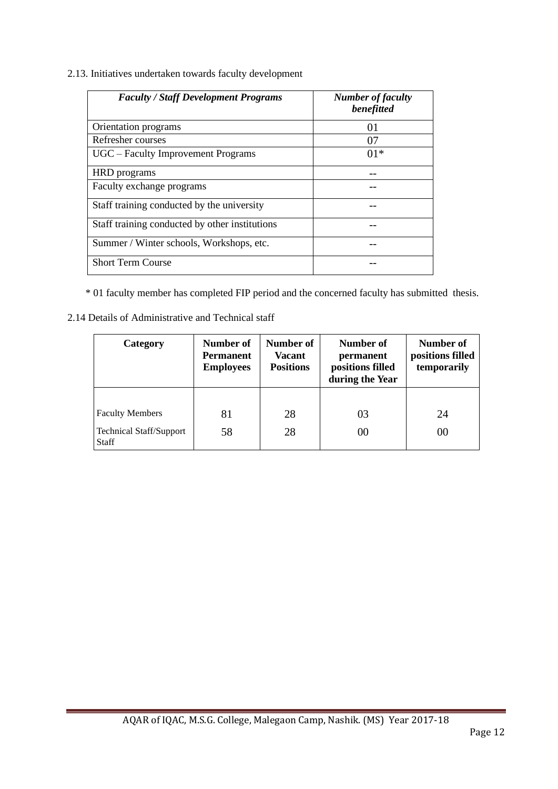2.13. Initiatives undertaken towards faculty development

| <b>Faculty / Staff Development Programs</b>    | <b>Number of faculty</b><br>benefitted |
|------------------------------------------------|----------------------------------------|
| Orientation programs                           | 01                                     |
| Refresher courses                              | 07                                     |
| UGC – Faculty Improvement Programs             | 01*                                    |
| HRD programs                                   |                                        |
| Faculty exchange programs                      |                                        |
| Staff training conducted by the university     |                                        |
| Staff training conducted by other institutions |                                        |
| Summer / Winter schools, Workshops, etc.       |                                        |
| <b>Short Term Course</b>                       |                                        |

\* 01 faculty member has completed FIP period and the concerned faculty has submitted thesis.

2.14 Details of Administrative and Technical staff

| Category                         | <b>Number of</b><br><b>Permanent</b><br><b>Employees</b> | <b>Number of</b><br>Vacant<br><b>Positions</b> | Number of<br>permanent<br>positions filled<br>during the Year | Number of<br>positions filled<br>temporarily |
|----------------------------------|----------------------------------------------------------|------------------------------------------------|---------------------------------------------------------------|----------------------------------------------|
|                                  |                                                          |                                                |                                                               |                                              |
| <b>Faculty Members</b>           | 81                                                       | 28                                             | 03                                                            | 24                                           |
| Technical Staff/Support<br>Staff | 58                                                       | 28                                             | 00                                                            | 00                                           |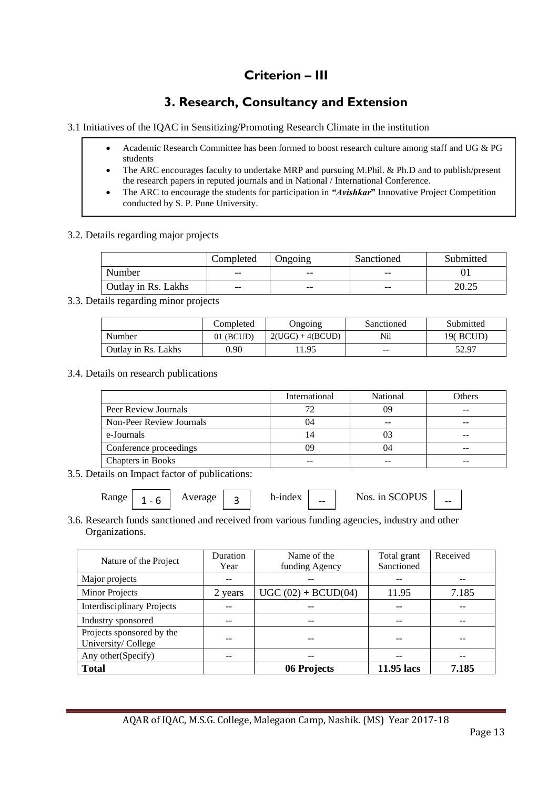# **Criterion – III**

# **3. Research, Consultancy and Extension**

3.1 Initiatives of the IQAC in Sensitizing/Promoting Research Climate in the institution

- Academic Research Committee has been formed to boost research culture among staff and UG & PG students
- The ARC encourages faculty to undertake MRP and pursuing M.Phil. & Ph.D and to publish/present the research papers in reputed journals and in National / International Conference.
- The ARC to encourage the students for participation in *"Avishkar***"** Innovative Project Competition conducted by S. P. Pune University.

3.2. Details regarding major projects

|                     | Completed | <b>J</b> ngoing | Sanctioned | Submitted      |
|---------------------|-----------|-----------------|------------|----------------|
| Number              | $- -$     | $- -$           | $- -$      |                |
| Outlay in Rs. Lakhs | $- -$     | $- -$           | $- -$      | າດ າ<<br>20.ZJ |

3.3. Details regarding minor projects

|                     | Completed   | Ongoing            | Sanctioned        | Submitted |
|---------------------|-------------|--------------------|-------------------|-----------|
| Number              | $01$ (BCUD) | $2(UGC) + 4(BCUD)$ | Nil               | 19( BCUD) |
| Outlay in Rs. Lakhs | 0.90        | 1.95               | $\qquad \qquad -$ | 52.97     |

3.4. Details on research publications

|                          | International | National | Others |
|--------------------------|---------------|----------|--------|
| Peer Review Journals     |               | 99       |        |
| Non-Peer Review Journals | 04            |          | --     |
| e-Journals               |               |          |        |
| Conference proceedings   | 09            | 14       | --     |
| Chapters in Books        | --            |          |        |

3.5. Details on Impact factor of publications:

| <b>Range</b> |  | Average | - | h-index | -- | Nos. in SCOPUS | -- |
|--------------|--|---------|---|---------|----|----------------|----|
|--------------|--|---------|---|---------|----|----------------|----|

3.6. Research funds sanctioned and received from various funding agencies, industry and other Organizations.

| Nature of the Project             | Duration | Name of the           | Total grant | Received |
|-----------------------------------|----------|-----------------------|-------------|----------|
|                                   | Year     | funding Agency        | Sanctioned  |          |
| Major projects                    |          |                       |             |          |
| <b>Minor Projects</b>             | 2 years  | $UGC (02) + BCID(04)$ | 11.95       | 7.185    |
| <b>Interdisciplinary Projects</b> |          |                       |             |          |
| Industry sponsored                |          | --                    |             |          |
| Projects sponsored by the         |          |                       |             |          |
| University/College                |          |                       |             |          |
| Any other(Specify)                |          |                       |             |          |
| <b>Total</b>                      |          | 06 Projects           | 11.95 lacs  | 7.185    |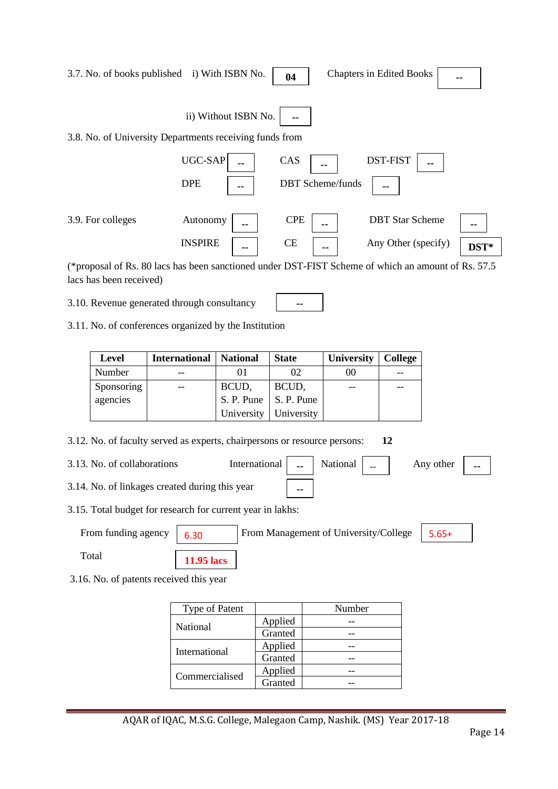| 3.7. No. of books published i) With ISBN No.                                                                                  |                            | 04                                  | <b>Chapters in Edited Books</b>               |            |
|-------------------------------------------------------------------------------------------------------------------------------|----------------------------|-------------------------------------|-----------------------------------------------|------------|
|                                                                                                                               | ii) Without ISBN No.       |                                     |                                               |            |
| 3.8. No. of University Departments receiving funds from                                                                       |                            |                                     |                                               |            |
|                                                                                                                               | UGC-SAP<br><b>DPE</b>      | CAS<br><b>DBT</b> Scheme/funds      | <b>DST-FIST</b>                               |            |
| 3.9. For colleges                                                                                                             | Autonomy<br><b>INSPIRE</b> | <b>CPE</b><br>--<br><b>CE</b><br>-- | <b>DBT</b> Star Scheme<br>Any Other (specify) | --<br>DST* |
| (*proposal of Rs. 80 lacs has been sanctioned under DST-FIST Scheme of which an amount of Rs. 57.5<br>lacs has been received) |                            |                                     |                                               |            |

**--**

3.10. Revenue generated through consultancy

3.11. No. of conferences organized by the Institution

| <b>Level</b> | <b>International   National</b> |                         | <b>State</b> | <b>University</b> | <b>College</b> |
|--------------|---------------------------------|-------------------------|--------------|-------------------|----------------|
| Number       |                                 |                         | 02           | 00                |                |
| Sponsoring   | $- -$                           | BCUD,                   | BCUD,        |                   |                |
| agencies     |                                 | S. P. Pune   S. P. Pune |              |                   |                |
|              |                                 | University              | University   |                   |                |

- 3.12. No. of faculty served as experts, chairpersons or resource persons: **12**
- 3.13. No. of collaborations International  $\vert$   $\vert$   $\vert$  National  $\vert$   $\vert$   $\vert$ Any other

**--**

- 3.14. No. of linkages created during this year
- 3.15. Total budget for research for current year in lakhs:

From funding agency | 6.30 | From Management of University/College | 5.65+ Total **11.95 lacs**

3.16. No. of patents received this year

| <b>Type of Patent</b> |         | Number |
|-----------------------|---------|--------|
| <b>National</b>       | Applied |        |
|                       | Granted |        |
|                       | Applied |        |
| International         | Granted |        |
| Commercialised        | Applied |        |
|                       | Granted |        |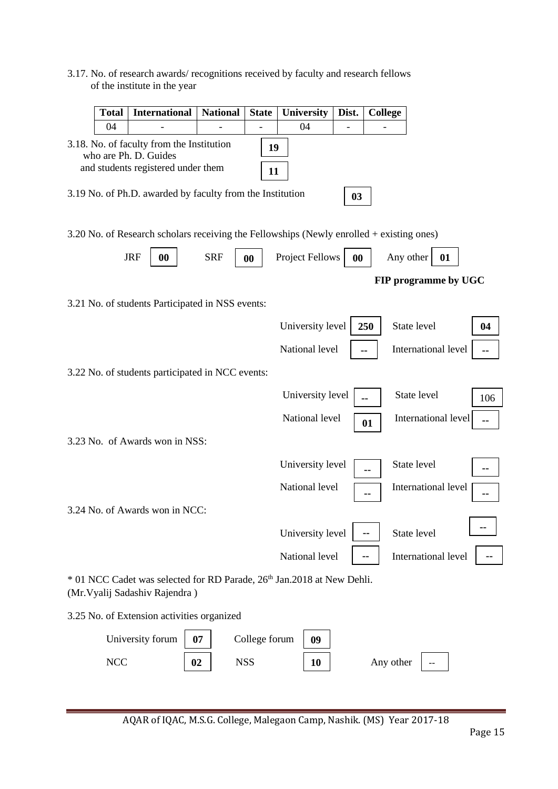|                              | 3.17. No. of research awards/ recognitions received by faculty and research fellows |
|------------------------------|-------------------------------------------------------------------------------------|
| of the institute in the year |                                                                                     |

| <b>Total</b> | <b>International</b>                                                                                                                                                  | <b>National</b> | <b>State</b>  | University       | Dist. | <b>College</b> |                      |     |
|--------------|-----------------------------------------------------------------------------------------------------------------------------------------------------------------------|-----------------|---------------|------------------|-------|----------------|----------------------|-----|
| 04           |                                                                                                                                                                       |                 |               | 04               |       |                |                      |     |
|              | 3.18. No. of faculty from the Institution<br>who are Ph. D. Guides<br>and students registered under them<br>3.19 No. of Ph.D. awarded by faculty from the Institution |                 | 19<br>11      |                  |       |                |                      |     |
|              |                                                                                                                                                                       |                 |               |                  | 03    |                |                      |     |
|              | 3.20 No. of Research scholars receiving the Fellowships (Newly enrolled + existing ones)                                                                              |                 |               |                  |       |                |                      |     |
|              | <b>JRF</b><br>$\bf{00}$                                                                                                                                               | <b>SRF</b>      | 00            | Project Fellows  | 00    |                | Any other<br>01      |     |
|              |                                                                                                                                                                       |                 |               |                  |       |                | FIP programme by UGC |     |
|              | 3.21 No. of students Participated in NSS events:                                                                                                                      |                 |               |                  |       |                |                      |     |
|              |                                                                                                                                                                       |                 |               | University level |       | 250            | State level          | 04  |
|              |                                                                                                                                                                       |                 |               | National level   |       | --             | International level  |     |
|              | 3.22 No. of students participated in NCC events:                                                                                                                      |                 |               |                  |       |                |                      |     |
|              |                                                                                                                                                                       |                 |               | University level |       | --             | State level          | 106 |
|              |                                                                                                                                                                       |                 |               | National level   |       | 01             | International level  |     |
|              | 3.23 No. of Awards won in NSS:                                                                                                                                        |                 |               |                  |       |                |                      |     |
|              |                                                                                                                                                                       |                 |               | University level |       |                | State level          |     |
|              |                                                                                                                                                                       |                 |               | National level   |       |                | International level  |     |
|              | 3.24 No. of Awards won in NCC:                                                                                                                                        |                 |               |                  |       |                |                      |     |
|              |                                                                                                                                                                       |                 |               | University level |       | $\sim$         | State level          |     |
|              |                                                                                                                                                                       |                 |               | National level   |       |                | International level  |     |
|              | * 01 NCC Cadet was selected for RD Parade, 26 <sup>th</sup> Jan.2018 at New Dehli.<br>(Mr. Vyalij Sadashiv Rajendra)                                                  |                 |               |                  |       |                |                      |     |
|              | 3.25 No. of Extension activities organized                                                                                                                            |                 |               |                  |       |                |                      |     |
|              | University forum                                                                                                                                                      | 07              | College forum | 09               |       |                |                      |     |

**NCC**  $\begin{array}{|c|c|c|c|c|} \hline \textbf{02} & \textbf{NSS} & \textbf{10} & \textbf{Any other} & - \ \hline \end{array}$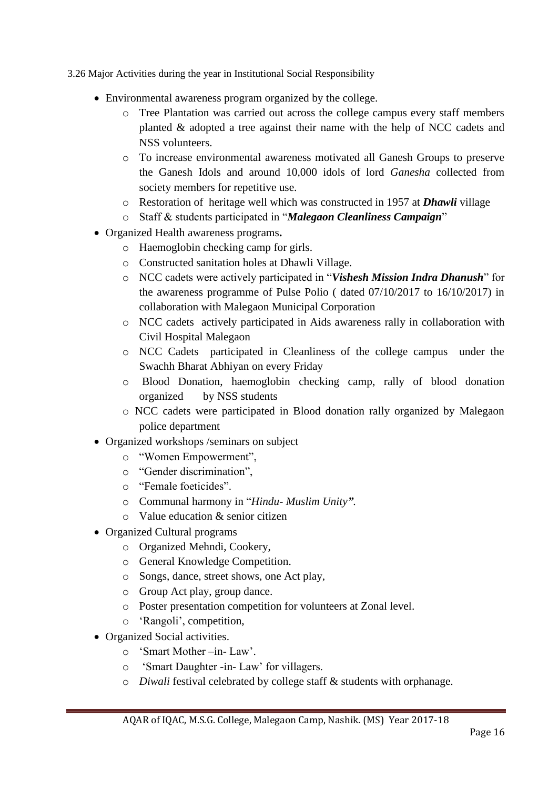3.26 Major Activities during the year in Institutional Social Responsibility

- Environmental awareness program organized by the college.
	- o Tree Plantation was carried out across the college campus every staff members planted & adopted a tree against their name with the help of NCC cadets and NSS volunteers.
	- o To increase environmental awareness motivated all Ganesh Groups to preserve the Ganesh Idols and around 10,000 idols of lord *Ganesha* collected from society members for repetitive use.
	- o Restoration of heritage well which was constructed in 1957 at *Dhawli* village
	- o Staff & students participated in "*Malegaon Cleanliness Campaign*"
- Organized Health awareness programs**.** 
	- o Haemoglobin checking camp for girls.
	- o Constructed sanitation holes at Dhawli Village.
	- o NCC cadets were actively participated in "*Vishesh Mission Indra Dhanush*" for the awareness programme of Pulse Polio ( dated 07/10/2017 to 16/10/2017) in collaboration with Malegaon Municipal Corporation
	- o NCC cadets actively participated in Aids awareness rally in collaboration with Civil Hospital Malegaon
	- o NCC Cadets participated in Cleanliness of the college campus under the Swachh Bharat Abhiyan on every Friday
	- o Blood Donation, haemoglobin checking camp, rally of blood donation organized by NSS students
	- o NCC cadets were participated in Blood donation rally organized by Malegaon police department
- Organized workshops /seminars on subject
	- o "Women Empowerment",
	- o "Gender discrimination",
	- o "Female foeticides".
	- o Communal harmony in "*Hindu- Muslim Unity"*.
	- o Value education & senior citizen
- Organized Cultural programs
	- o Organized Mehndi, Cookery,
	- o General Knowledge Competition.
	- o Songs, dance, street shows, one Act play,
	- o Group Act play, group dance.
	- o Poster presentation competition for volunteers at Zonal level.
	- o 'Rangoli', competition,
- Organized Social activities.
	- o 'Smart Mother –in- Law'.
	- o 'Smart Daughter -in- Law' for villagers.
	- o *Diwali* festival celebrated by college staff & students with orphanage.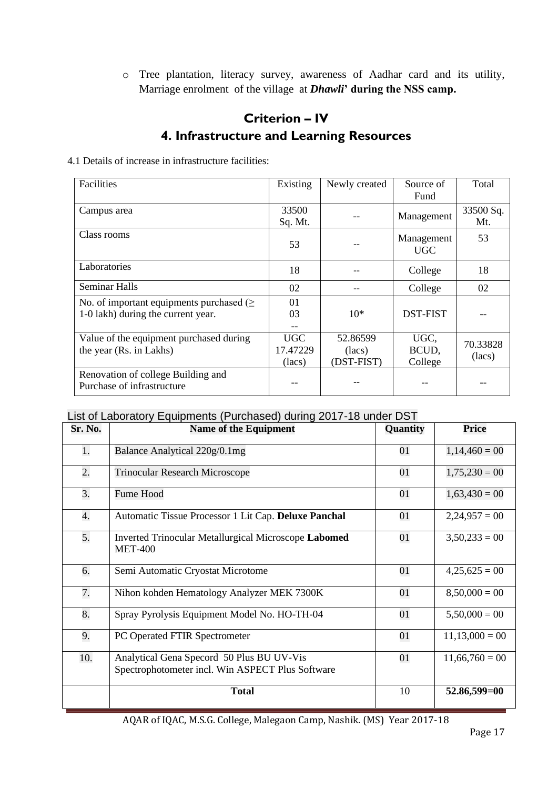o Tree plantation, literacy survey, awareness of Aadhar card and its utility, Marriage enrolment of the village at *Dhawli***' during the NSS camp.**

# **Criterion – IV 4. Infrastructure and Learning Resources**

#### 4.1 Details of increase in infrastructure facilities:

| Facilities                                                       | Existing   | Newly created | Source of       | Total     |
|------------------------------------------------------------------|------------|---------------|-----------------|-----------|
|                                                                  |            |               | Fund            |           |
| Campus area                                                      | 33500      |               | Management      | 33500 Sq. |
|                                                                  | Sq. Mt.    |               |                 | Mt.       |
| Class rooms                                                      |            |               | Management      | 53        |
|                                                                  | 53         |               | <b>UGC</b>      |           |
| Laboratories                                                     | 18         |               | College         | 18        |
| <b>Seminar Halls</b>                                             | 02         |               | College         | 02        |
| No. of important equipments purchased $(\geq$                    | 01         |               |                 |           |
| 1-0 lakh) during the current year.                               | 03         | $10*$         | <b>DST-FIST</b> |           |
|                                                                  |            |               |                 |           |
| Value of the equipment purchased during                          | <b>UGC</b> | 52.86599      | UGC,            | 70.33828  |
| the year (Rs. in Lakhs)                                          | 17.47229   | (lacs)        | BCUD,           | (lacs)    |
|                                                                  | (lacs)     | (DST-FIST)    | College         |           |
| Renovation of college Building and<br>Purchase of infrastructure |            |               |                 |           |

### List of Laboratory Equipments (Purchased) during 2017-18 under DST

| Sr. No. | Name of the Equipment                                                                         | Quantity | <b>Price</b>     |
|---------|-----------------------------------------------------------------------------------------------|----------|------------------|
| 1.      | Balance Analytical 220g/0.1mg                                                                 | 01       | $1,14,460 = 00$  |
| 2.      | <b>Trinocular Research Microscope</b>                                                         | 01       | $1,75,230 = 00$  |
| 3.      | Fume Hood                                                                                     | 01       | $1,63,430 = 00$  |
| 4.      | Automatic Tissue Processor 1 Lit Cap. Deluxe Panchal                                          | 01       | $2,24,957 = 00$  |
| 5.      | Inverted Trinocular Metallurgical Microscope Labomed<br><b>MET-400</b>                        | 01       | $3,50,233 = 00$  |
| 6.      | Semi Automatic Cryostat Microtome                                                             | 01       | $4,25,625=00$    |
| 7.      | Nihon kohden Hematology Analyzer MEK 7300K                                                    | 01       | $8,50,000 = 00$  |
| 8.      | Spray Pyrolysis Equipment Model No. HO-TH-04                                                  | 01       | $5,50,000 = 00$  |
| 9.      | PC Operated FTIR Spectrometer                                                                 | 01       | $11,13,000 = 00$ |
| 10.     | Analytical Gena Specord 50 Plus BU UV-Vis<br>Spectrophotometer incl. Win ASPECT Plus Software | 01       | $11,66,760 = 00$ |
|         | <b>Total</b>                                                                                  | 10       | 52.86,599=00     |

AQAR of IQAC, M.S.G. College, Malegaon Camp, Nashik. (MS) Year 2017-18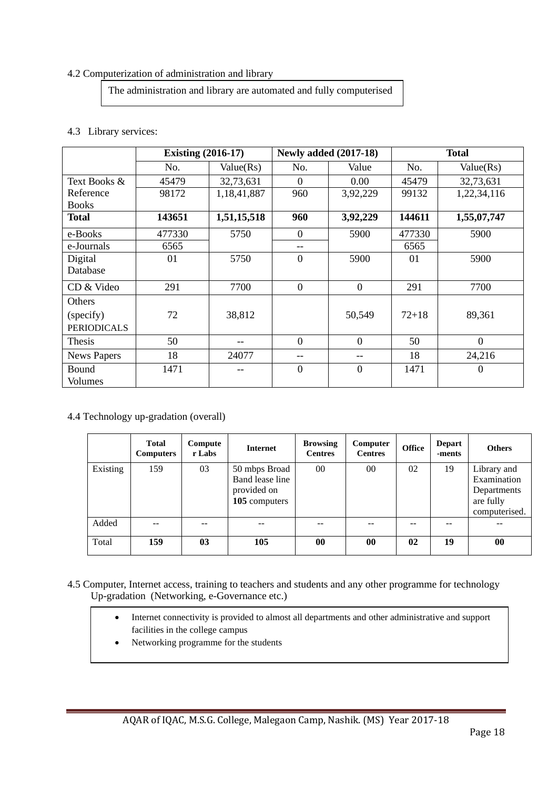#### 4.2 Computerization of administration and library

The administration and library are automated and fully computerised

### 4.3 Library services:

|                    | <b>Existing (2016-17)</b> |             |                  | <b>Newly added (2017-18)</b> |           | <b>Total</b> |  |  |
|--------------------|---------------------------|-------------|------------------|------------------------------|-----------|--------------|--|--|
|                    | No.                       | Value(Rs)   | No.              | Value                        | No.       | Value(Rs)    |  |  |
| Text Books &       | 45479                     | 32,73,631   | $\Omega$         | 0.00                         | 45479     | 32,73,631    |  |  |
| Reference          | 98172                     | 1,18,41,887 | 960              | 3,92,229                     | 99132     | 1,22,34,116  |  |  |
| <b>Books</b>       |                           |             |                  |                              |           |              |  |  |
| <b>Total</b>       | 143651                    | 1,51,15,518 | 960              | 3,92,229                     | 144611    | 1,55,07,747  |  |  |
| e-Books            | 477330                    | 5750        | $\boldsymbol{0}$ | 5900                         | 477330    | 5900         |  |  |
| e-Journals         | 6565                      |             | $- -$            |                              | 6565      |              |  |  |
| Digital            | 01                        | 5750        | $\overline{0}$   | 5900                         | 01        | 5900         |  |  |
| Database           |                           |             |                  |                              |           |              |  |  |
| CD & Video         | 291                       | 7700        | $\boldsymbol{0}$ | $\overline{0}$               | 291       | 7700         |  |  |
| Others             |                           |             |                  |                              |           |              |  |  |
| (specify)          | 72                        | 38,812      |                  | 50,549                       | $72 + 18$ | 89,361       |  |  |
| <b>PERIODICALS</b> |                           |             |                  |                              |           |              |  |  |
| Thesis             | 50                        |             | $\overline{0}$   | $\overline{0}$               | 50        | $\Omega$     |  |  |
| <b>News Papers</b> | 18                        | 24077       | --               | --                           | 18        | 24,216       |  |  |
| <b>Bound</b>       | 1471                      |             | $\mathbf{0}$     | $\mathbf{0}$                 | 1471      | $\mathbf{0}$ |  |  |
| Volumes            |                           |             |                  |                              |           |              |  |  |

4.4 Technology up-gradation (overall)

|          | <b>Total</b><br><b>Computers</b> | Compute<br>r Labs | <b>Internet</b>                                                  | <b>Browsing</b><br><b>Centres</b> | Computer<br><b>Centres</b> | <b>Office</b> | <b>Depart</b><br>-ments | <b>Others</b>                                                           |
|----------|----------------------------------|-------------------|------------------------------------------------------------------|-----------------------------------|----------------------------|---------------|-------------------------|-------------------------------------------------------------------------|
| Existing | 159                              | 03                | 50 mbps Broad<br>Band lease line<br>provided on<br>105 computers | $00\,$                            | $00\,$                     | 02            | 19                      | Library and<br>Examination<br>Departments<br>are fully<br>computerised. |
| Added    |                                  |                   | --                                                               | --                                | --                         | --            |                         | --                                                                      |
| Total    | 159                              | 0 <sub>3</sub>    | 105                                                              | $\bf{00}$                         | $\bf{00}$                  | 02            | 19                      | $\bf{00}$                                                               |

- 4.5 Computer, Internet access, training to teachers and students and any other programme for technology Up-gradation (Networking, e-Governance etc.)
	- Internet connectivity is provided to almost all departments and other administrative and support facilities in the college campus
	- Networking programme for the students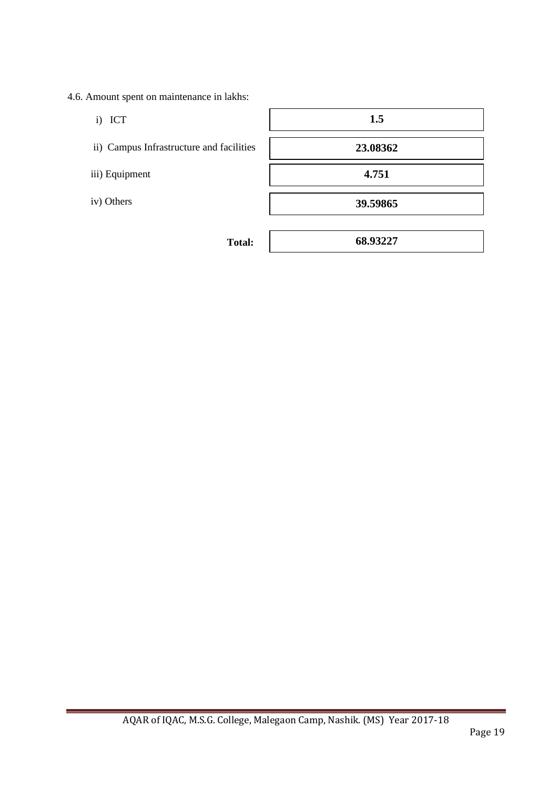- 4.6. Amount spent on maintenance in lakhs:
	- i) ICT
	- i) ICT<br>ii) Campus Infrastructure and facilities<br>iii) Equipment
	- iii) Equipment
	- iv) Others

| 1.5      |  |
|----------|--|
| 23.08362 |  |
| 4.751    |  |
| 39.59865 |  |
|          |  |

**Total:** 

**68.93227**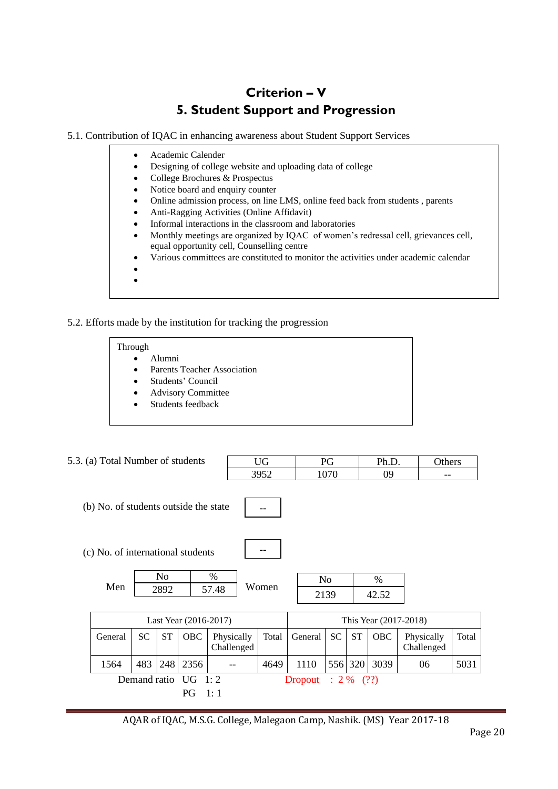# **Criterion – V 5. Student Support and Progression**

5.1. Contribution of IQAC in enhancing awareness about Student Support Services

- Academic Calender
- Designing of college website and uploading data of college
- College Brochures & Prospectus
- Notice board and enquiry counter
- Online admission process, on line LMS, online feed back from students , parents
- Anti-Ragging Activities (Online Affidavit)
	- Informal interactions in the classroom and laboratories
- Monthly meetings are organized by IQAC of women's redressal cell, grievances cell, equal opportunity cell, Counselling centre
- Various committees are constituted to monitor the activities under academic calendar
- •

### 5.2. Efforts made by the institution for tracking the progression

#### Through

- Alumni
- Parents Teacher Association
- Students' Council
- Advisory Committee
- Students feedback

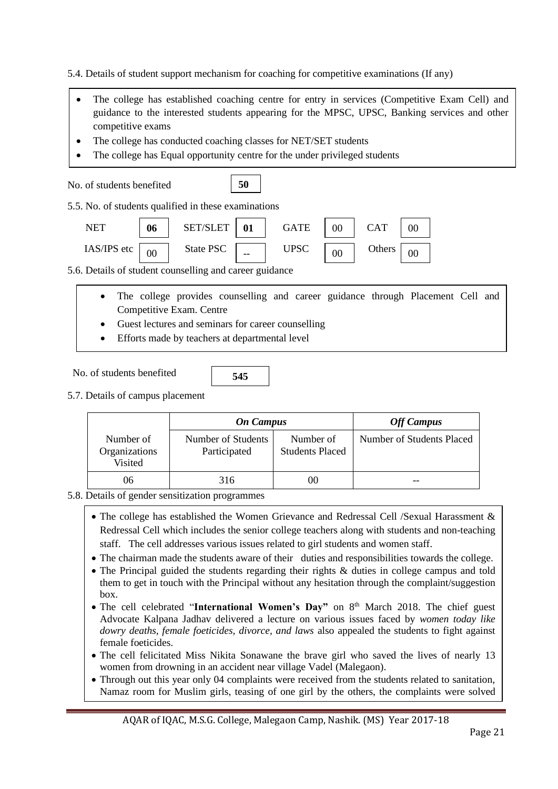5.4. Details of student support mechanism for coaching for competitive examinations (If any)

- studing to the mere<br>competitive exams • The college has established coaching centre for entry in services (Competitive Exam Cell) and guidance to the interested students appearing for the MPSC, UPSC, Banking services and other
- The college has conducted coaching classes for NET/SET students
- The college has Equal opportunity centre for the under privileged students

No. of students benefited 5.5. No. of students qualified in these examinations NET SET/SLET GATE CAT IAS/IPS etc  $\boxed{00}$  State PSC  $\boxed{1}$  UPSC  $\boxed{00}$  Others 5.6. Details of student counselling and career guidance **50 06** 00 **01** -- 00 00 00 00

- The college provides counselling and career guidance through Placement Cell and Competitive Exam. Centre
- Guest lectures and seminars for career counselling
- Efforts made by teachers at departmental level
- No. of students benefited

•

- **545**
- 5.7. Details of campus placement

|                                       | <b>On Campus</b>                   |                                     | <b>Off Campus</b>         |
|---------------------------------------|------------------------------------|-------------------------------------|---------------------------|
| Number of<br>Organizations<br>Visited | Number of Students<br>Participated | Number of<br><b>Students Placed</b> | Number of Students Placed |
| 06                                    | 316                                |                                     |                           |

#### 5.8. Details of gender sensitization programmes

with the counselling. The counselling of the counselling.

- The college has established the Women Grievance and Redressal Cell /Sexual Harassment & Redressal Cell which includes the senior college teachers along with students and non-teaching staff. The cell addresses various issues related to girl students and women staff.
- The chairman made the students aware of their duties and responsibilities towards the college.
- The Principal guided the students regarding their rights & duties in college campus and told them to get in touch with the Principal without any hesitation through the complaint/suggestion box.
- The cell celebrated "International Women's Day" on 8<sup>th</sup> March 2018. The chief guest Advocate Kalpana Jadhav delivered a lecture on various issues faced by *women today like dowry deaths, female foeticides, divorce, and laws* also appealed the students to fight against female foeticides.
- The cell felicitated Miss Nikita Sonawane the brave girl who saved the lives of nearly 13 women from drowning in an accident near village Vadel (Malegaon).
- Through out this year only 04 complaints were received from the students related to sanitation, Namaz room for Muslim girls, teasing of one girl by the others, the complaints were solved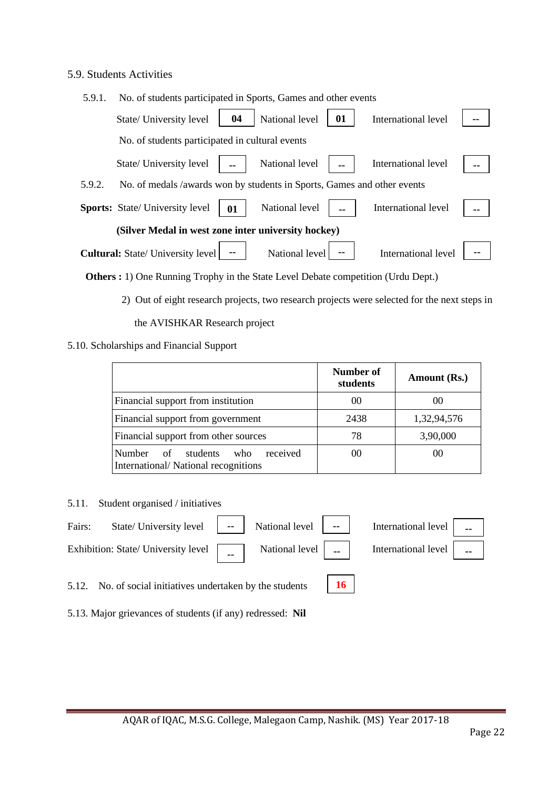### 5.9. Students Activities

| 5.9.1. | No. of students participated in Sports, Games and other events          |    |                |    |                     |  |
|--------|-------------------------------------------------------------------------|----|----------------|----|---------------------|--|
|        | State/ University level                                                 | 04 | National level | 01 | International level |  |
|        | No. of students participated in cultural events                         |    |                |    |                     |  |
|        | State/ University level                                                 | -- | National level |    | International level |  |
| 5.9.2. | No. of medals /awards won by students in Sports, Games and other events |    |                |    |                     |  |
|        | <b>Sports:</b> State/ University level                                  | 01 | National level |    | International level |  |
|        | (Silver Medal in west zone inter university hockey)                     |    |                |    |                     |  |
|        | <b>Cultural:</b> State/ University level                                |    | National level |    | International level |  |

 **Others :** 1) One Running Trophy in the State Level Debate competition (Urdu Dept.)

2) Out of eight research projects, two research projects were selected for the next steps in

the AVISHKAR Research project

### 5.10. Scholarships and Financial Support

|                                                                              | Number of<br>students | Amount (Rs.) |
|------------------------------------------------------------------------------|-----------------------|--------------|
| Financial support from institution                                           | $($ )()               | 00           |
| Financial support from government                                            | 2438                  | 1,32,94,576  |
| Financial support from other sources                                         | 78                    | 3,90,000     |
| Number of students<br>received<br>who<br>International/National recognitions | 00                    | 00           |

5.11. Student organised / initiatives



5.12. No. of social initiatives undertaken by the students

**16**

5.13. Major grievances of students (if any) redressed: **Nil**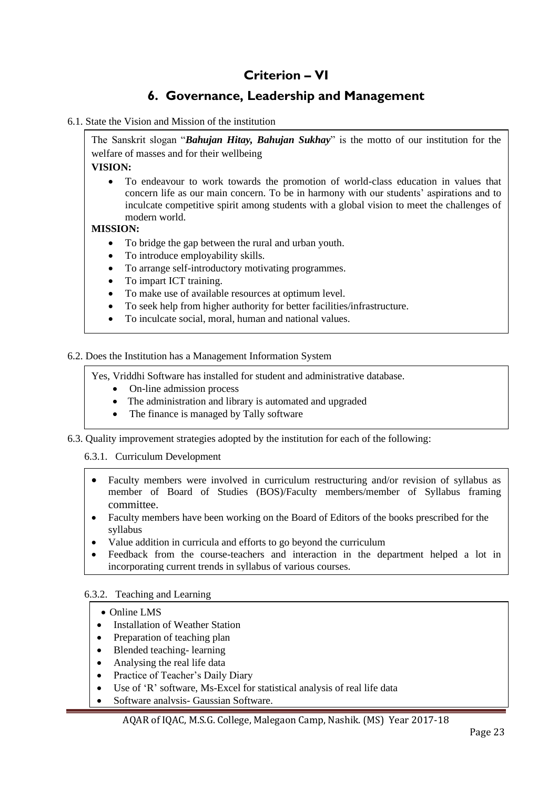# **Criterion – VI**

# **6. Governance, Leadership and Management**

#### 6.1. State the Vision and Mission of the institution

The Sanskrit slogan "*Bahujan Hitay, Bahujan Sukhay*" is the motto of our institution for the welfare of masses and for their wellbeing

**VISION:**

• To endeavour to work towards the promotion of world-class education in values that concern life as our main concern. To be in harmony with our students' aspirations and to inculcate competitive spirit among students with a global vision to meet the challenges of modern world.

#### **MISSION:**

- To bridge the gap between the rural and urban youth.
- To introduce employability skills.
- To arrange self-introductory motivating programmes.
- To impart ICT training.
- To make use of available resources at optimum level.
- To seek help from higher authority for better facilities/infrastructure.
- To inculcate social, moral, human and national values.

6.2. Does the Institution has a Management Information System

Yes, Vriddhi Software has installed for student and administrative database.

- On-line admission process
- The administration and library is automated and upgraded
- The finance is managed by Tally software
- 6.3. Quality improvement strategies adopted by the institution for each of the following:

6.3.1. Curriculum Development

- Faculty members were involved in curriculum restructuring and/or revision of syllabus as member of Board of Studies (BOS)/Faculty members/member of Syllabus framing committee.
- Faculty members have been working on the Board of Editors of the books prescribed for the syllabus
- Value addition in curricula and efforts to go beyond the curriculum
- Feedback from the course-teachers and interaction in the department helped a lot in incorporating current trends in syllabus of various courses.

#### 6.3.2. Teaching and Learning

#### • Online LMS

•

- Installation of Weather Station
- Preparation of teaching plan
- Blended teaching-learning
- Analysing the real life data
- Practice of Teacher's Daily Diary
- Use of 'R' software, Ms-Excel for statistical analysis of real life data
- Software analysis- Gaussian Software.

AQAR of IQAC, M.S.G. College, Malegaon Camp, Nashik. (MS) Year 2017-18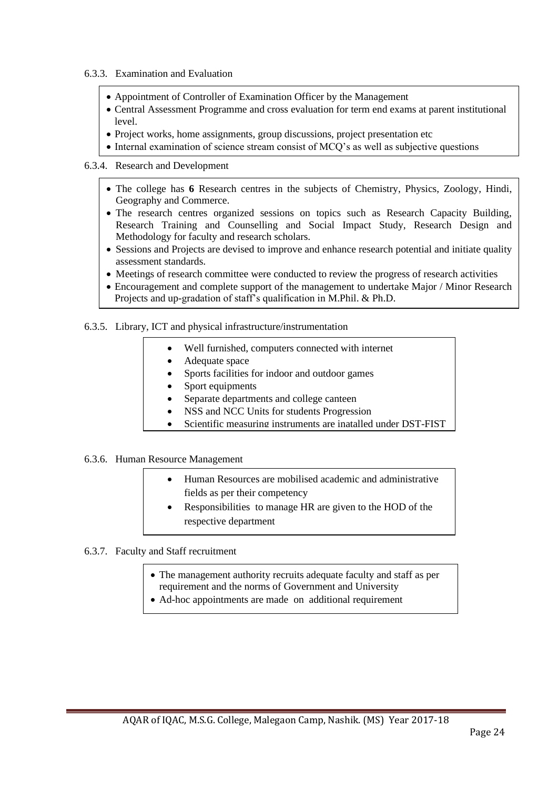- 6.3.3. Examination and Evaluation
	- Appointment of Controller of Examination Officer by the Management
	- Central Assessment Programme and cross evaluation for term end exams at parent institutional level.
	- Project works, home assignments, group discussions, project presentation etc
	- Internal examination of science stream consist of MCQ's as well as subjective questions

#### 6.3.4. Research and Development

- The college has **6** Research centres in the subjects of Chemistry, Physics, Zoology, Hindi, Geography and Commerce.
- The research centres organized sessions on topics such as Research Capacity Building, Research Training and Counselling and Social Impact Study, Research Design and Methodology for faculty and research scholars.
- Sessions and Projects are devised to improve and enhance research potential and initiate quality assessment standards.
- Meetings of research committee were conducted to review the progress of research activities
- Encouragement and complete support of the management to undertake Major / Minor Research Projects and up-gradation of staff's qualification in M.Phil. & Ph.D.

#### 6.3.5. Library, ICT and physical infrastructure/instrumentation

- Well furnished, computers connected with internet
- Adequate space
- Sports facilities for indoor and outdoor games
- Sport equipments
- Separate departments and college canteen
- NSS and NCC Units for students Progression
- Scientific measuring instruments are inatalled under DST-FIST

#### 6.3.6. Human Resource Management

- Human Resources are mobilised academic and administrative fields as per their competency
- Responsibilities to manage HR are given to the HOD of the respective department
- 6.3.7. Faculty and Staff recruitment
	- The management authority recruits adequate faculty and staff as per requirement and the norms of Government and University
	- Ad-hoc appointments are made on additional requirement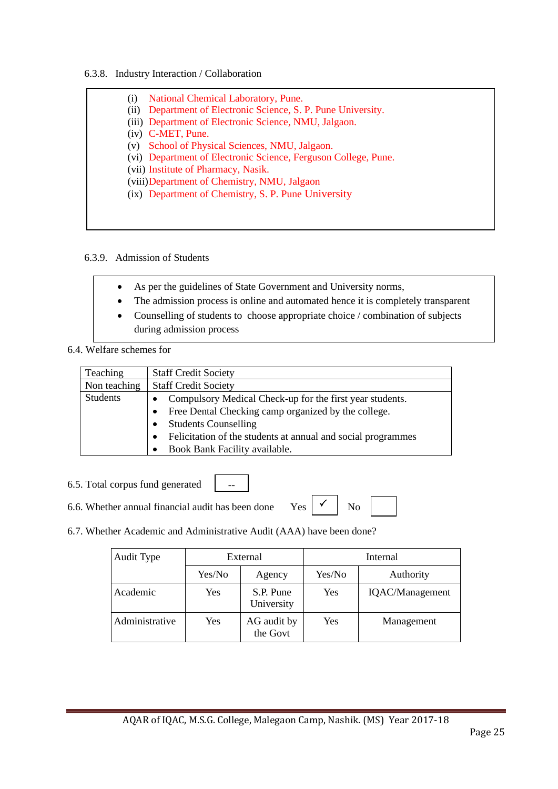#### 6.3.8. Industry Interaction / Collaboration

| (1)  | National Chemical Laboratory, Pune.                            |
|------|----------------------------------------------------------------|
| (ii) | Department of Electronic Science, S. P. Pune University.       |
|      | (iii) Department of Electronic Science, NMU, Jalgaon.          |
|      | $(iv)$ C-MET, Pune.                                            |
|      | (v) School of Physical Sciences, NMU, Jalgaon.                 |
|      | (vi) Department of Electronic Science, Ferguson College, Pune. |
|      | (vii) Institute of Pharmacy, Nasik.                            |
|      | (viii) Department of Chemistry, NMU, Jalgaon                   |
|      | (ix) Department of Chemistry, S. P. Pune University            |

#### 6.3.9. Admission of Students

- As per the guidelines of State Government and University norms,
- The admission process is online and automated hence it is completely transparent
- Counselling of students to choose appropriate choice / combination of subjects during admission process

#### 6.4. Welfare schemes for

| Teaching        | <b>Staff Credit Society</b>                                               |
|-----------------|---------------------------------------------------------------------------|
| Non teaching    | <b>Staff Credit Society</b>                                               |
| <b>Students</b> | • Compulsory Medical Check-up for the first year students.                |
|                 | Free Dental Checking camp organized by the college.                       |
|                 | <b>Students Counselling</b>                                               |
|                 | Felicitation of the students at annual and social programmes<br>$\bullet$ |
|                 | Book Bank Facility available.                                             |

- 6.5. Total corpus fund generated
- 6.6. Whether annual financial audit has been done Yes  $\begin{array}{c|c} \sim \\ \sim \\ \sim \end{array}$  No
- $\checkmark$
- 6.7. Whether Academic and Administrative Audit (AAA) have been done?

--

| Audit Type     |        | External                |        | Internal        |
|----------------|--------|-------------------------|--------|-----------------|
|                | Yes/No | Agency                  | Yes/No | Authority       |
| Academic       | Yes    | S.P. Pune<br>University | Yes    | IQAC/Management |
| Administrative | Yes    | AG audit by<br>the Govt | Yes    | Management      |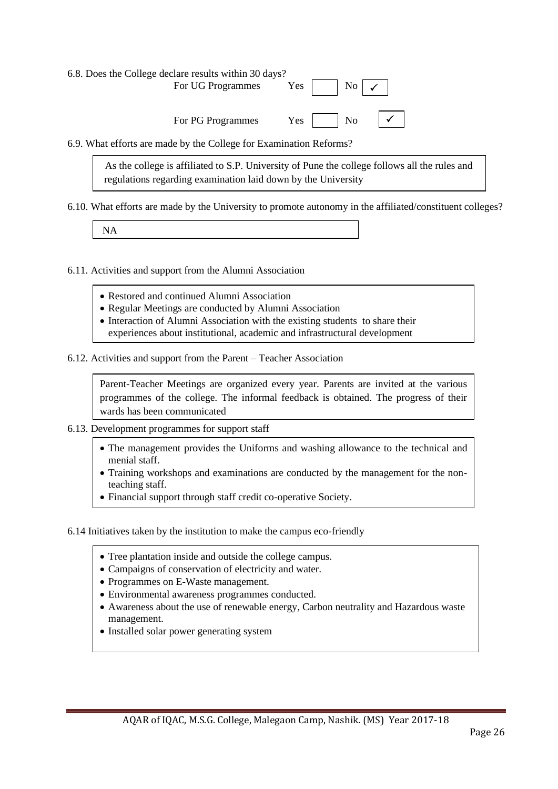| 6.8. Does the College declare results within 30 days?<br>For UG Programmes Yes $ $ $ $ No $ $ $\checkmark$ |  |  |
|------------------------------------------------------------------------------------------------------------|--|--|
| For PG Programmes Yes $\Box$ No $\Box$ $\Box$                                                              |  |  |
| 6.9. What efforts are made by the College for Examination Reforms?                                         |  |  |

As the college is affiliated to S.P. University of Pune the college follows all the rules and

regulations regarding examination laid down by the University

6.10. What efforts are made by the University to promote autonomy in the affiliated/constituent colleges?

NA

6.11. Activities and support from the Alumni Association

- Restored and continued Alumni Association
- Regular Meetings are conducted by Alumni Association
- Interaction of Alumni Association with the existing students to share their experiences about institutional, academic and infrastructural development
- 

6.12. Activities and support from the Parent – Teacher Association

Parent-Teacher Meetings are organized every year. Parents are invited at the various programmes of the college. The informal feedback is obtained. The progress of their wards has been communicated

- 6.13. Development programmes for support staff
	- The management provides the Uniforms and washing allowance to the technical and menial staff.
	- Training workshops and examinations are conducted by the management for the nonteaching staff.
	- Financial support through staff credit co-operative Society.

6.14 Initiatives taken by the institution to make the campus eco-friendly

- Tree plantation inside and outside the college campus.
- Campaigns of conservation of electricity and water.
- Programmes on E-Waste management.
- **1.** Independence on E-wasternames conducted.<br>• Environmental awareness programmes conducted.
- Awareness about the use of renewable energy, Carbon neutrality and Hazardous waste management.
- Installed solar power generating system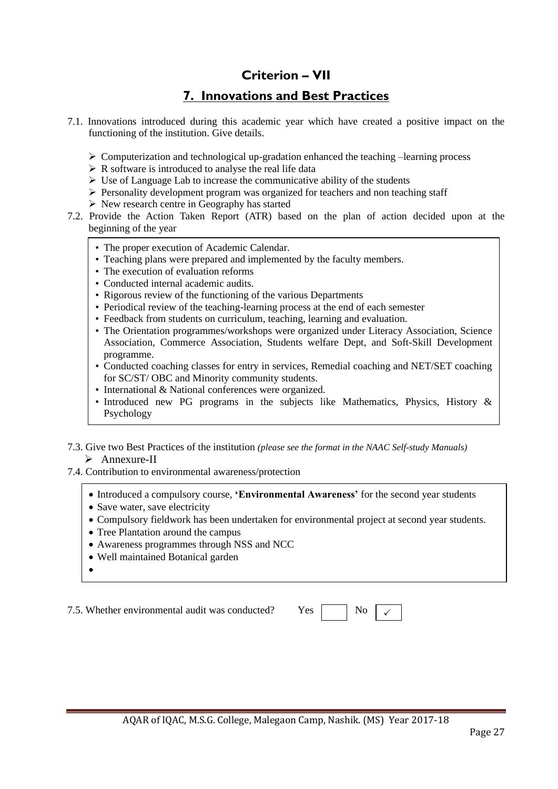# **Criterion – VII**

# **7. Innovations and Best Practices**

- 7.1. Innovations introduced during this academic year which have created a positive impact on the functioning of the institution. Give details.
	- $\triangleright$  Computerization and technological up-gradation enhanced the teaching –learning process
	- $\triangleright$  R software is introduced to analyse the real life data
	- $\triangleright$  Use of Language Lab to increase the communicative ability of the students
	- $\triangleright$  Personality development program was organized for teachers and non teaching staff
	- ➢ New research centre in Geography has started
- 7.2. Provide the Action Taken Report (ATR) based on the plan of action decided upon at the beginning of the year
	- The proper execution of Academic Calendar.
	- Teaching plans were prepared and implemented by the faculty members.
	- The execution of evaluation reforms
	- Conducted internal academic audits.
	- Rigorous review of the functioning of the various Departments
	- Periodical review of the teaching-learning process at the end of each semester
	- Feedback from students on curriculum, teaching, learning and evaluation.
	- The Orientation programmes/workshops were organized under Literacy Association, Science Association, Commerce Association, Students welfare Dept, and Soft-Skill Development programme.
	- Conducted coaching classes for entry in services, Remedial coaching and NET/SET coaching for SC/ST/ OBC and Minority community students.
	- International & National conferences were organized.
	- Introduced new PG programs in the subjects like Mathematics, Physics, History & Psychology
- 7.3. Give two Best Practices of the institution *(please see the format in the NAAC Self-study Manuals)* ➢ Annexure-II
- 7.4. Contribution to environmental awareness/protection
	- Introduced a compulsory course, **'Environmental Awareness'** for the second year students
	- Save water, save electricity
	- Compulsory fieldwork has been undertaken for environmental project at second year students.
	- Tree Plantation around the campus
	- Awareness programmes through NSS and NCC
	- Well maintained Botanical garden
	- •

7.5. Whether environmental audit was conducted?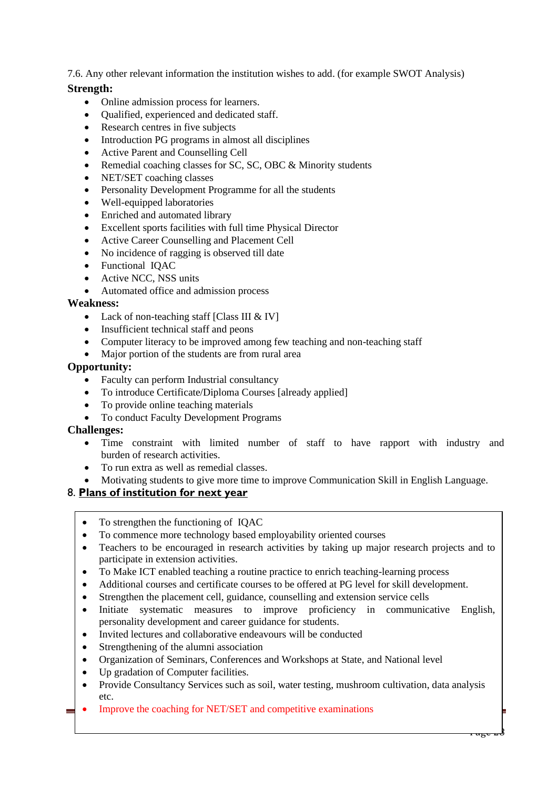7.6. Any other relevant information the institution wishes to add. (for example SWOT Analysis)

### **Strength:**

- Online admission process for learners.
- Qualified, experienced and dedicated staff.
- Research centres in five subjects
- Introduction PG programs in almost all disciplines
- Active Parent and Counselling Cell
- Remedial coaching classes for SC, SC, OBC & Minority students
- NET/SET coaching classes
- Personality Development Programme for all the students
- Well-equipped laboratories
- Enriched and automated library
- Excellent sports facilities with full time Physical Director
- Active Career Counselling and Placement Cell
- No incidence of ragging is observed till date
- Functional IQAC
- Active NCC, NSS units
- Automated office and admission process

### **Weakness:**

- Lack of non-teaching staff [Class III & IV]
- Insufficient technical staff and peons
- Computer literacy to be improved among few teaching and non-teaching staff
- Major portion of the students are from rural area

### **Opportunity:**

- Faculty can perform Industrial consultancy
- To introduce Certificate/Diploma Courses [already applied]
- To provide online teaching materials
- To conduct Faculty Development Programs

#### **Challenges:**

- Time constraint with limited number of staff to have rapport with industry and burden of research activities.
- To run extra as well as remedial classes.
- Motivating students to give more time to improve Communication Skill in English Language.

### 8. **Plans of institution for next year**

- To strengthen the functioning of IOAC
- To commence more technology based employability oriented courses
- Teachers to be encouraged in research activities by taking up major research projects and to participate in extension activities.
- To Make ICT enabled teaching a routine practice to enrich teaching-learning process
- Additional courses and certificate courses to be offered at PG level for skill development.
- Strengthen the placement cell, guidance, counselling and extension service cells
- Initiate systematic measures to improve proficiency in communicative English, personality development and career guidance for students.
- Invited lectures and collaborative endeavours will be conducted
- Strengthening of the alumni association
- Organization of Seminars, Conferences and Workshops at State, and National level
- Up gradation of Computer facilities.
- Provide Consultancy Services such as soil, water testing, mushroom cultivation, data analysis etc.

 $\overline{\mathfrak{a}}$ ge

• Improve the coaching for NET/SET and competitive examinations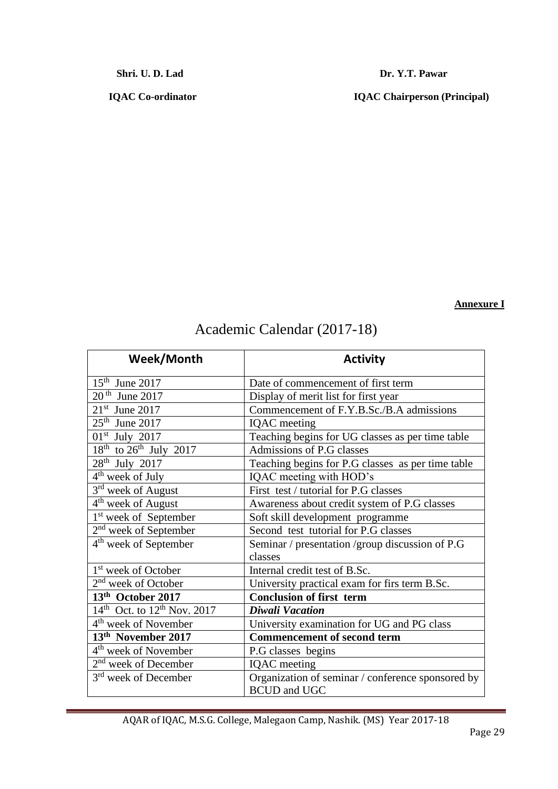**Shri. U. D. Lad Dr. Y.T. Pawar** 

 **IQAC Co-ordinator IQAC Chairperson (Principal)**

### **Annexure I**

| Week/Month                                          | <b>Activity</b>                                   |
|-----------------------------------------------------|---------------------------------------------------|
| $15th$ June 2017                                    | Date of commencement of first term                |
| $20th$ June 2017                                    | Display of merit list for first year              |
| $21st$ June 2017                                    | Commencement of F.Y.B.Sc./B.A admissions          |
| $25th$ June 2017                                    | <b>IQAC</b> meeting                               |
| $01st$ July 2017                                    | Teaching begins for UG classes as per time table  |
| $18^{th}$ to $26^{th}$ July 2017                    | Admissions of P.G classes                         |
| 28 <sup>th</sup> July 2017                          | Teaching begins for P.G classes as per time table |
| $4th$ week of July                                  | IQAC meeting with HOD's                           |
| 3 <sup>rd</sup> week of August                      | First test / tutorial for P.G classes             |
| $4th$ week of August                                | Awareness about credit system of P.G classes      |
| 1 <sup>st</sup> week of September                   | Soft skill development programme                  |
| $2nd$ week of September                             | Second test tutorial for P.G classes              |
| 4 <sup>th</sup> week of September                   | Seminar / presentation / group discussion of P.G  |
|                                                     | classes                                           |
| 1 <sup>st</sup> week of October                     | Internal credit test of B.Sc.                     |
| 2 <sup>nd</sup> week of October                     | University practical exam for firs term B.Sc.     |
| 13th October 2017                                   | <b>Conclusion of first term</b>                   |
| $14^{\text{th}}$ Oct. to $12^{\text{th}}$ Nov. 2017 | <b>Diwali Vacation</b>                            |
| 4 <sup>th</sup> week of November                    | University examination for UG and PG class        |
| 13 <sup>th</sup> November 2017                      | <b>Commencement of second term</b>                |
| 4 <sup>th</sup> week of November                    | P.G classes begins                                |
| 2 <sup>nd</sup> week of December                    | <b>IQAC</b> meeting                               |
| 3 <sup>rd</sup> week of December                    | Organization of seminar / conference sponsored by |
|                                                     | <b>BCUD</b> and UGC                               |

# Academic Calendar (2017-18)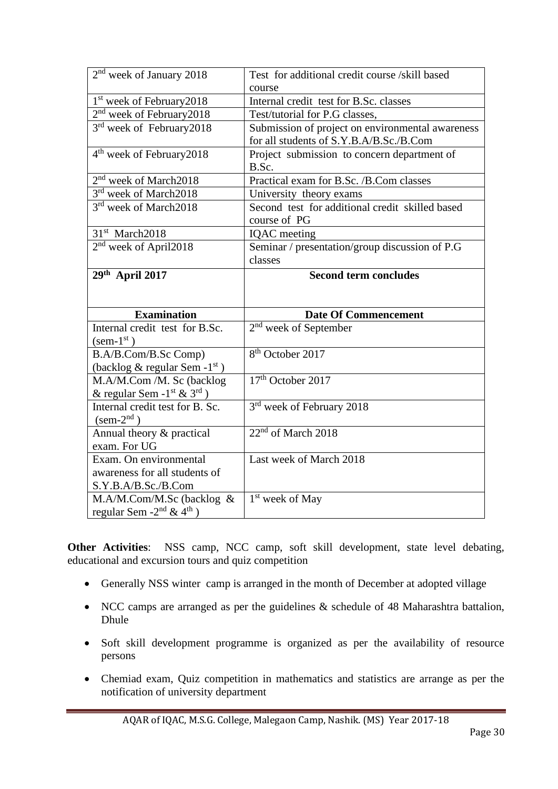| 2 <sup>nd</sup> week of January 2018                                                  | Test for additional credit course /skill based                                              |
|---------------------------------------------------------------------------------------|---------------------------------------------------------------------------------------------|
|                                                                                       | course                                                                                      |
| 1 <sup>st</sup> week of February2018                                                  | Internal credit test for B.Sc. classes                                                      |
| $2nd$ week of February 2018                                                           | Test/tutorial for P.G classes,                                                              |
| 3 <sup>rd</sup> week of February 2018                                                 | Submission of project on environmental awareness<br>for all students of S.Y.B.A/B.Sc./B.Com |
| 4 <sup>th</sup> week of February 2018                                                 | Project submission to concern department of<br>B.Sc.                                        |
| 2 <sup>nd</sup> week of March2018                                                     | Practical exam for B.Sc. /B.Com classes                                                     |
| $3rd$ week of March2018                                                               | University theory exams                                                                     |
| 3 <sup>rd</sup> week of March2018                                                     | Second test for additional credit skilled based<br>course of PG                             |
| 31 <sup>st</sup> March2018                                                            | <b>IQAC</b> meeting                                                                         |
| 2 <sup>nd</sup> week of April2018                                                     | Seminar / presentation/group discussion of P.G                                              |
|                                                                                       | classes                                                                                     |
| 29th April 2017                                                                       | <b>Second term concludes</b>                                                                |
|                                                                                       |                                                                                             |
|                                                                                       |                                                                                             |
| <b>Examination</b>                                                                    | <b>Date Of Commencement</b>                                                                 |
| Internal credit test for B.Sc.                                                        | $2nd$ week of September                                                                     |
| $(\text{sem-1}^{\text{st}})$                                                          |                                                                                             |
| B.A/B.Com/B.Sc Comp)                                                                  | 8 <sup>th</sup> October 2017                                                                |
| (backlog $\&$ regular Sem -1 <sup>st</sup> )                                          | 17 <sup>th</sup> October 2017                                                               |
| M.A/M.Com /M. Sc (backlog                                                             |                                                                                             |
| & regular Sem -1 <sup>st</sup> & 3 <sup>rd</sup> )<br>Internal credit test for B. Sc. | 3 <sup>rd</sup> week of February 2018                                                       |
| $(\text{sem-2}^{\text{nd}})$                                                          |                                                                                             |
| Annual theory & practical                                                             | 22 <sup>nd</sup> of March 2018                                                              |
| exam. For UG                                                                          |                                                                                             |
| Exam. On environmental                                                                | Last week of March 2018                                                                     |
| awareness for all students of                                                         |                                                                                             |
| S.Y.B.A/B.Sc./B.Com                                                                   |                                                                                             |
| M.A/M.Com/M.Sc (backlog &<br>regular Sem $-2^{nd}$ & 4 <sup>th</sup> )                | 1 <sup>st</sup> week of May                                                                 |

**Other Activities**: NSS camp, NCC camp, soft skill development, state level debating, educational and excursion tours and quiz competition

- Generally NSS winter camp is arranged in the month of December at adopted village
- NCC camps are arranged as per the guidelines & schedule of 48 Maharashtra battalion, Dhule
- Soft skill development programme is organized as per the availability of resource persons
- Chemiad exam, Quiz competition in mathematics and statistics are arrange as per the notification of university department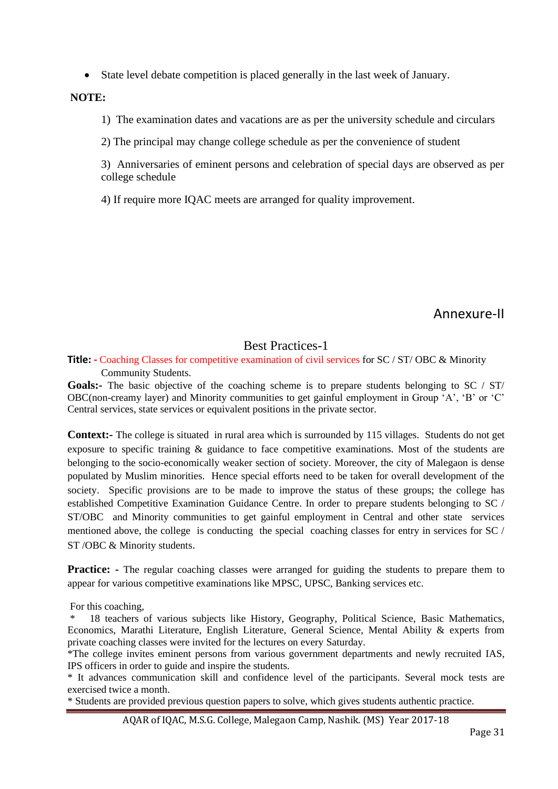• State level debate competition is placed generally in the last week of January.

**NOTE:**

1) The examination dates and vacations are as per the university schedule and circulars

2) The principal may change college schedule as per the convenience of student

3) Anniversaries of eminent persons and celebration of special days are observed as per college schedule

4) If require more IQAC meets are arranged for quality improvement.

Annexure-II

### Best Practices-1

**Title: -** Coaching Classes for competitive examination of civil services for SC / ST/ OBC & Minority Community Students.

**Goals:-** The basic objective of the coaching scheme is to prepare students belonging to SC / ST/ OBC(non-creamy layer) and Minority communities to get gainful employment in Group 'A', 'B' or 'C' Central services, state services or equivalent positions in the private sector.

**Context:-** The college is situated in rural area which is surrounded by 115 villages. Students do not get exposure to specific training & guidance to face competitive examinations. Most of the students are belonging to the socio-economically weaker section of society. Moreover, the city of Malegaon is dense populated by Muslim minorities. Hence special efforts need to be taken for overall development of the society. Specific provisions are to be made to improve the status of these groups; the college has established Competitive Examination Guidance Centre. In order to prepare students belonging to SC / ST/OBC and Minority communities to get gainful employment in Central and other state services mentioned above, the college is conducting the special coaching classes for entry in services for SC / ST /OBC & Minority students.

**Practice:** - The regular coaching classes were arranged for guiding the students to prepare them to appear for various competitive examinations like MPSC, UPSC, Banking services etc.

For this coaching,

18 teachers of various subjects like History, Geography, Political Science, Basic Mathematics, Economics, Marathi Literature, English Literature, General Science, Mental Ability & experts from private coaching classes were invited for the lectures on every Saturday.

\*The college invites eminent persons from various government departments and newly recruited IAS, IPS officers in order to guide and inspire the students.

\* It advances communication skill and confidence level of the participants. Several mock tests are exercised twice a month.

\* Students are provided previous question papers to solve, which gives students authentic practice.

AQAR of IQAC, M.S.G. College, Malegaon Camp, Nashik. (MS) Year 2017-18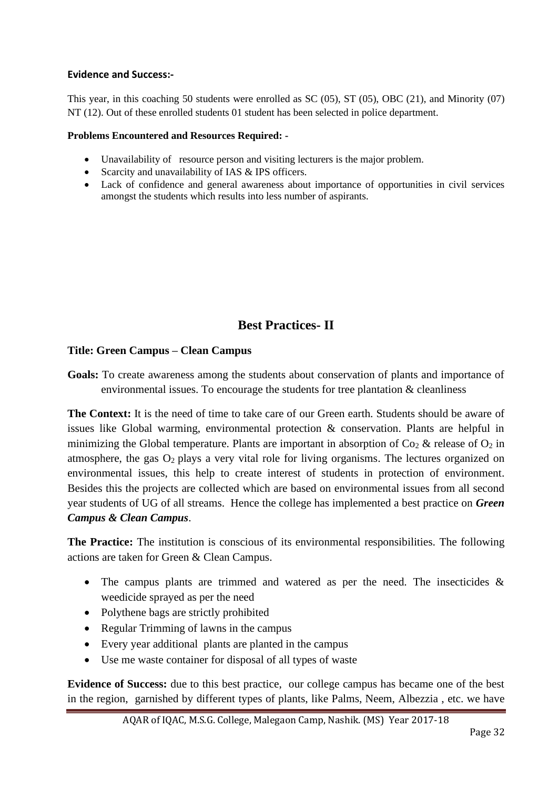### **Evidence and Success:-**

This year, in this coaching 50 students were enrolled as SC (05), ST (05), OBC (21), and Minority (07) NT (12). Out of these enrolled students 01 student has been selected in police department.

### **Problems Encountered and Resources Required: -**

- Unavailability of resource person and visiting lecturers is the major problem.
- Scarcity and unavailability of IAS & IPS officers.
- Lack of confidence and general awareness about importance of opportunities in civil services amongst the students which results into less number of aspirants.

### **Best Practices- II**

### **Title: Green Campus – Clean Campus**

**Goals:** To create awareness among the students about conservation of plants and importance of environmental issues. To encourage the students for tree plantation  $\&$  cleanliness

**The Context:** It is the need of time to take care of our Green earth. Students should be aware of issues like Global warming, environmental protection & conservation. Plants are helpful in minimizing the Global temperature. Plants are important in absorption of  $\text{Co}_2 \&$  release of  $\text{O}_2$  in atmosphere, the gas  $O_2$  plays a very vital role for living organisms. The lectures organized on environmental issues, this help to create interest of students in protection of environment. Besides this the projects are collected which are based on environmental issues from all second year students of UG of all streams. Hence the college has implemented a best practice on *Green Campus & Clean Campus*.

**The Practice:** The institution is conscious of its environmental responsibilities. The following actions are taken for Green & Clean Campus.

- The campus plants are trimmed and watered as per the need. The insecticides  $\&$ weedicide sprayed as per the need
- Polythene bags are strictly prohibited
- Regular Trimming of lawns in the campus
- Every year additional plants are planted in the campus
- Use me waste container for disposal of all types of waste

**Evidence of Success:** due to this best practice, our college campus has became one of the best in the region, garnished by different types of plants, like Palms, Neem, Albezzia , etc. we have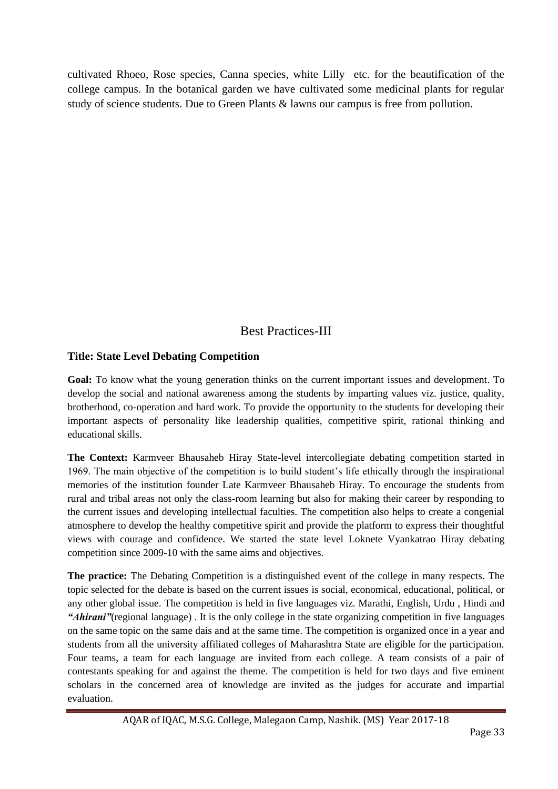cultivated Rhoeo, Rose species, Canna species, white Lilly etc. for the beautification of the college campus. In the botanical garden we have cultivated some medicinal plants for regular study of science students. Due to Green Plants & lawns our campus is free from pollution.

### Best Practices-III

### **Title: State Level Debating Competition**

**Goal:** To know what the young generation thinks on the current important issues and development. To develop the social and national awareness among the students by imparting values viz. justice, quality, brotherhood, co-operation and hard work. To provide the opportunity to the students for developing their important aspects of personality like leadership qualities, competitive spirit, rational thinking and educational skills.

**The Context:** Karmveer Bhausaheb Hiray State-level intercollegiate debating competition started in 1969. The main objective of the competition is to build student's life ethically through the inspirational memories of the institution founder Late Karmveer Bhausaheb Hiray. To encourage the students from rural and tribal areas not only the class-room learning but also for making their career by responding to the current issues and developing intellectual faculties. The competition also helps to create a congenial atmosphere to develop the healthy competitive spirit and provide the platform to express their thoughtful views with courage and confidence. We started the state level Loknete Vyankatrao Hiray debating competition since 2009-10 with the same aims and objectives.

**The practice:** The Debating Competition is a distinguished event of the college in many respects. The topic selected for the debate is based on the current issues is social, economical, educational, political, or any other global issue. The competition is held in five languages viz. Marathi, English, Urdu , Hindi and *"Ahirani"*(regional language) . It is the only college in the state organizing competition in five languages on the same topic on the same dais and at the same time. The competition is organized once in a year and students from all the university affiliated colleges of Maharashtra State are eligible for the participation. Four teams, a team for each language are invited from each college. A team consists of a pair of contestants speaking for and against the theme. The competition is held for two days and five eminent scholars in the concerned area of knowledge are invited as the judges for accurate and impartial evaluation.